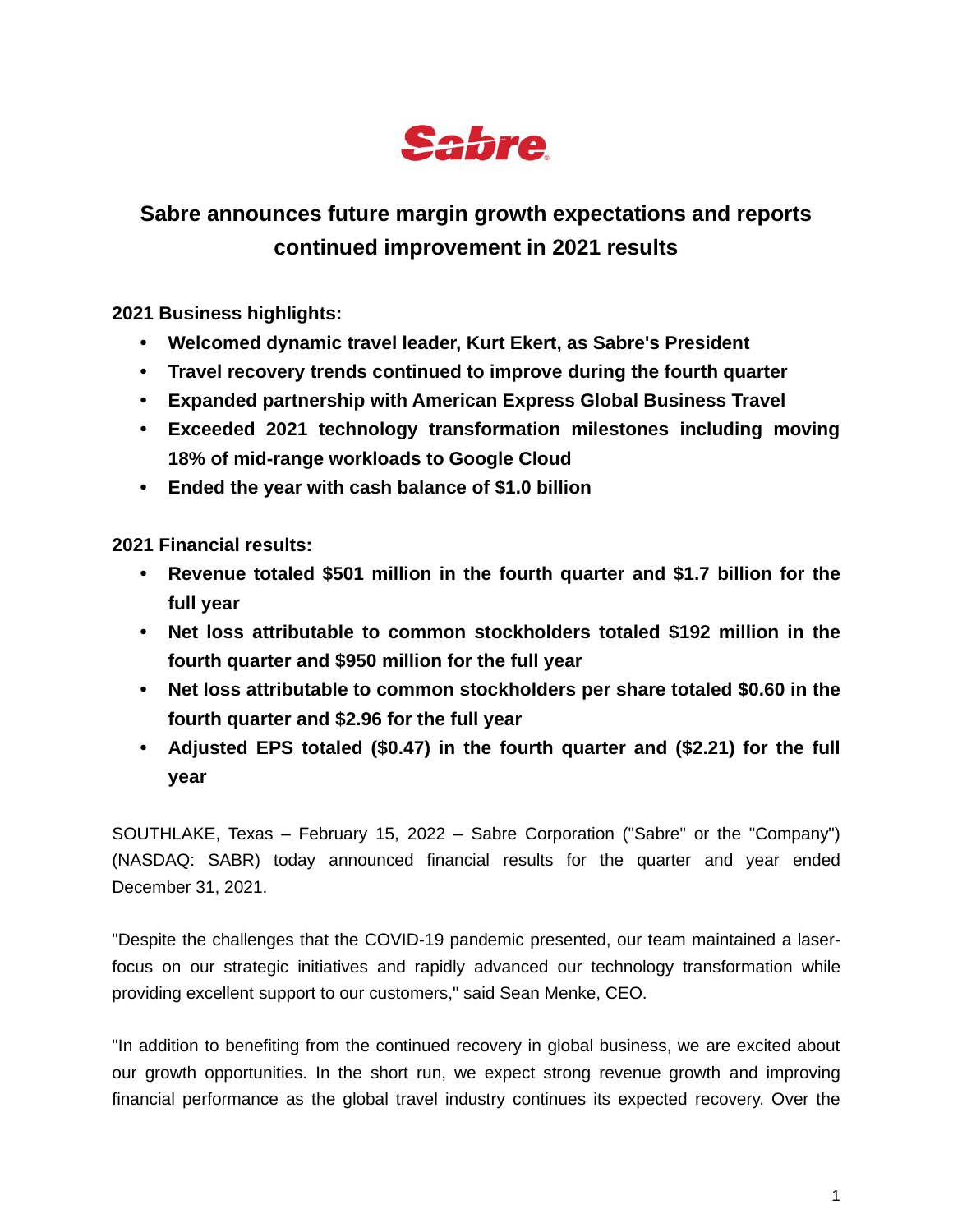

# **Sabre announces future margin growth expectations and reports continued improvement in 2021 results**

**2021 Business highlights:**

- **• Welcomed dynamic travel leader, Kurt Ekert, as Sabre's President**
- **• Travel recovery trends continued to improve during the fourth quarter**
- **• Expanded partnership with American Express Global Business Travel**
- **• Exceeded 2021 technology transformation milestones including moving 18% of mid-range workloads to Google Cloud**
- **• Ended the year with cash balance of \$1.0 billion**

**2021 Financial results:**

- **• Revenue totaled \$501 million in the fourth quarter and \$1.7 billion for the full year**
- **• Net loss attributable to common stockholders totaled \$192 million in the fourth quarter and \$950 million for the full year**
- **• Net loss attributable to common stockholders per share totaled \$0.60 in the fourth quarter and \$2.96 for the full year**
- **• Adjusted EPS totaled (\$0.47) in the fourth quarter and (\$2.21) for the full year**

SOUTHLAKE, Texas – February 15, 2022 – Sabre Corporation ("Sabre" or the "Company") (NASDAQ: SABR) today announced financial results for the quarter and year ended December 31, 2021.

"Despite the challenges that the COVID-19 pandemic presented, our team maintained a laserfocus on our strategic initiatives and rapidly advanced our technology transformation while providing excellent support to our customers," said Sean Menke, CEO.

"In addition to benefiting from the continued recovery in global business, we are excited about our growth opportunities. In the short run, we expect strong revenue growth and improving financial performance as the global travel industry continues its expected recovery. Over the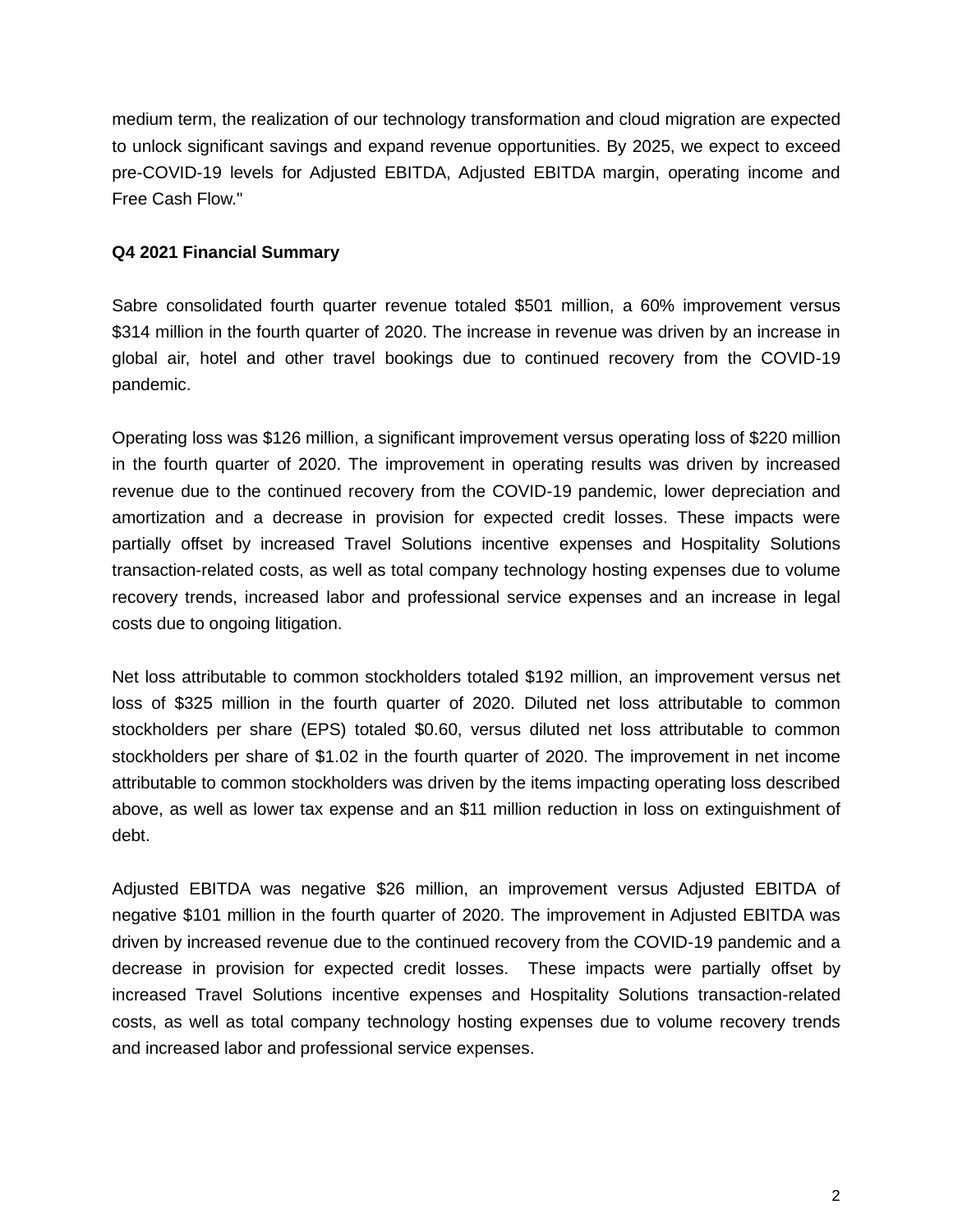medium term, the realization of our technology transformation and cloud migration are expected to unlock significant savings and expand revenue opportunities. By 2025, we expect to exceed pre-COVID-19 levels for Adjusted EBITDA, Adjusted EBITDA margin, operating income and Free Cash Flow."

#### **Q4 2021 Financial Summary**

Sabre consolidated fourth quarter revenue totaled \$501 million, a 60% improvement versus \$314 million in the fourth quarter of 2020. The increase in revenue was driven by an increase in global air, hotel and other travel bookings due to continued recovery from the COVID-19 pandemic.

Operating loss was \$126 million, a significant improvement versus operating loss of \$220 million in the fourth quarter of 2020. The improvement in operating results was driven by increased revenue due to the continued recovery from the COVID-19 pandemic, lower depreciation and amortization and a decrease in provision for expected credit losses. These impacts were partially offset by increased Travel Solutions incentive expenses and Hospitality Solutions transaction-related costs, as well as total company technology hosting expenses due to volume recovery trends, increased labor and professional service expenses and an increase in legal costs due to ongoing litigation.

Net loss attributable to common stockholders totaled \$192 million, an improvement versus net loss of \$325 million in the fourth quarter of 2020. Diluted net loss attributable to common stockholders per share (EPS) totaled \$0.60, versus diluted net loss attributable to common stockholders per share of \$1.02 in the fourth quarter of 2020. The improvement in net income attributable to common stockholders was driven by the items impacting operating loss described above, as well as lower tax expense and an \$11 million reduction in loss on extinguishment of debt.

Adjusted EBITDA was negative \$26 million, an improvement versus Adjusted EBITDA of negative \$101 million in the fourth quarter of 2020. The improvement in Adjusted EBITDA was driven by increased revenue due to the continued recovery from the COVID-19 pandemic and a decrease in provision for expected credit losses. These impacts were partially offset by increased Travel Solutions incentive expenses and Hospitality Solutions transaction-related costs, as well as total company technology hosting expenses due to volume recovery trends and increased labor and professional service expenses.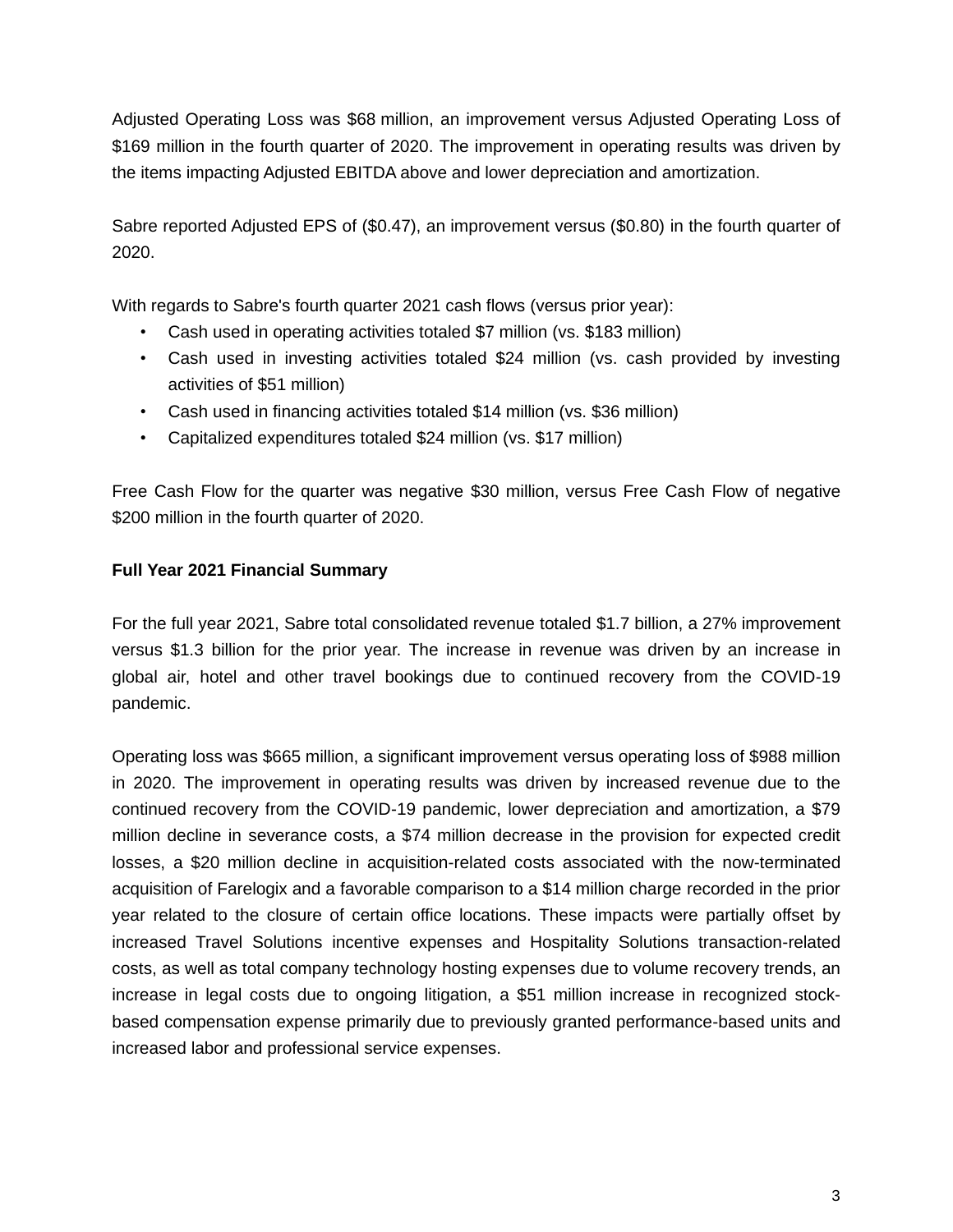Adjusted Operating Loss was \$68 million, an improvement versus Adjusted Operating Loss of \$169 million in the fourth quarter of 2020. The improvement in operating results was driven by the items impacting Adjusted EBITDA above and lower depreciation and amortization.

Sabre reported Adjusted EPS of (\$0.47), an improvement versus (\$0.80) in the fourth quarter of 2020.

With regards to Sabre's fourth quarter 2021 cash flows (versus prior year):

- Cash used in operating activities totaled \$7 million (vs. \$183 million)
- Cash used in investing activities totaled \$24 million (vs. cash provided by investing activities of \$51 million)
- Cash used in financing activities totaled \$14 million (vs. \$36 million)
- Capitalized expenditures totaled \$24 million (vs. \$17 million)

Free Cash Flow for the quarter was negative \$30 million, versus Free Cash Flow of negative \$200 million in the fourth quarter of 2020.

#### **Full Year 2021 Financial Summary**

For the full year 2021, Sabre total consolidated revenue totaled \$1.7 billion, a 27% improvement versus \$1.3 billion for the prior year. The increase in revenue was driven by an increase in global air, hotel and other travel bookings due to continued recovery from the COVID-19 pandemic.

Operating loss was \$665 million, a significant improvement versus operating loss of \$988 million in 2020. The improvement in operating results was driven by increased revenue due to the continued recovery from the COVID-19 pandemic, lower depreciation and amortization, a \$79 million decline in severance costs, a \$74 million decrease in the provision for expected credit losses, a \$20 million decline in acquisition-related costs associated with the now-terminated acquisition of Farelogix and a favorable comparison to a \$14 million charge recorded in the prior year related to the closure of certain office locations. These impacts were partially offset by increased Travel Solutions incentive expenses and Hospitality Solutions transaction-related costs, as well as total company technology hosting expenses due to volume recovery trends, an increase in legal costs due to ongoing litigation, a \$51 million increase in recognized stockbased compensation expense primarily due to previously granted performance-based units and increased labor and professional service expenses.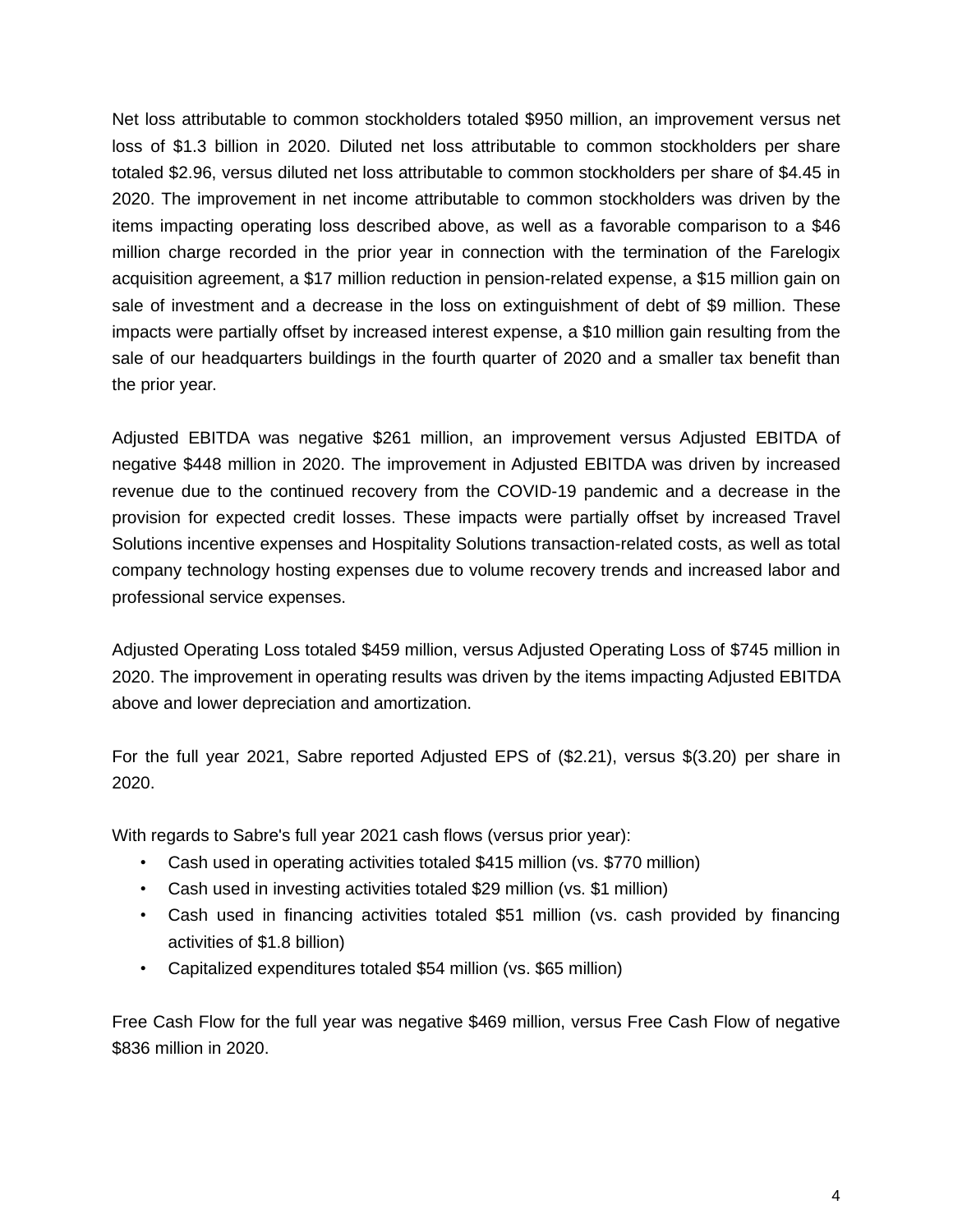Net loss attributable to common stockholders totaled \$950 million, an improvement versus net loss of \$1.3 billion in 2020. Diluted net loss attributable to common stockholders per share totaled \$2.96, versus diluted net loss attributable to common stockholders per share of \$4.45 in 2020. The improvement in net income attributable to common stockholders was driven by the items impacting operating loss described above, as well as a favorable comparison to a \$46 million charge recorded in the prior year in connection with the termination of the Farelogix acquisition agreement, a \$17 million reduction in pension-related expense, a \$15 million gain on sale of investment and a decrease in the loss on extinguishment of debt of \$9 million. These impacts were partially offset by increased interest expense, a \$10 million gain resulting from the sale of our headquarters buildings in the fourth quarter of 2020 and a smaller tax benefit than the prior year.

Adjusted EBITDA was negative \$261 million, an improvement versus Adjusted EBITDA of negative \$448 million in 2020. The improvement in Adjusted EBITDA was driven by increased revenue due to the continued recovery from the COVID-19 pandemic and a decrease in the provision for expected credit losses. These impacts were partially offset by increased Travel Solutions incentive expenses and Hospitality Solutions transaction-related costs, as well as total company technology hosting expenses due to volume recovery trends and increased labor and professional service expenses.

Adjusted Operating Loss totaled \$459 million, versus Adjusted Operating Loss of \$745 million in 2020. The improvement in operating results was driven by the items impacting Adjusted EBITDA above and lower depreciation and amortization.

For the full year 2021, Sabre reported Adjusted EPS of (\$2.21), versus \$(3.20) per share in 2020.

With regards to Sabre's full year 2021 cash flows (versus prior year):

- Cash used in operating activities totaled \$415 million (vs. \$770 million)
- Cash used in investing activities totaled \$29 million (vs. \$1 million)
- Cash used in financing activities totaled \$51 million (vs. cash provided by financing activities of \$1.8 billion)
- Capitalized expenditures totaled \$54 million (vs. \$65 million)

Free Cash Flow for the full year was negative \$469 million, versus Free Cash Flow of negative \$836 million in 2020.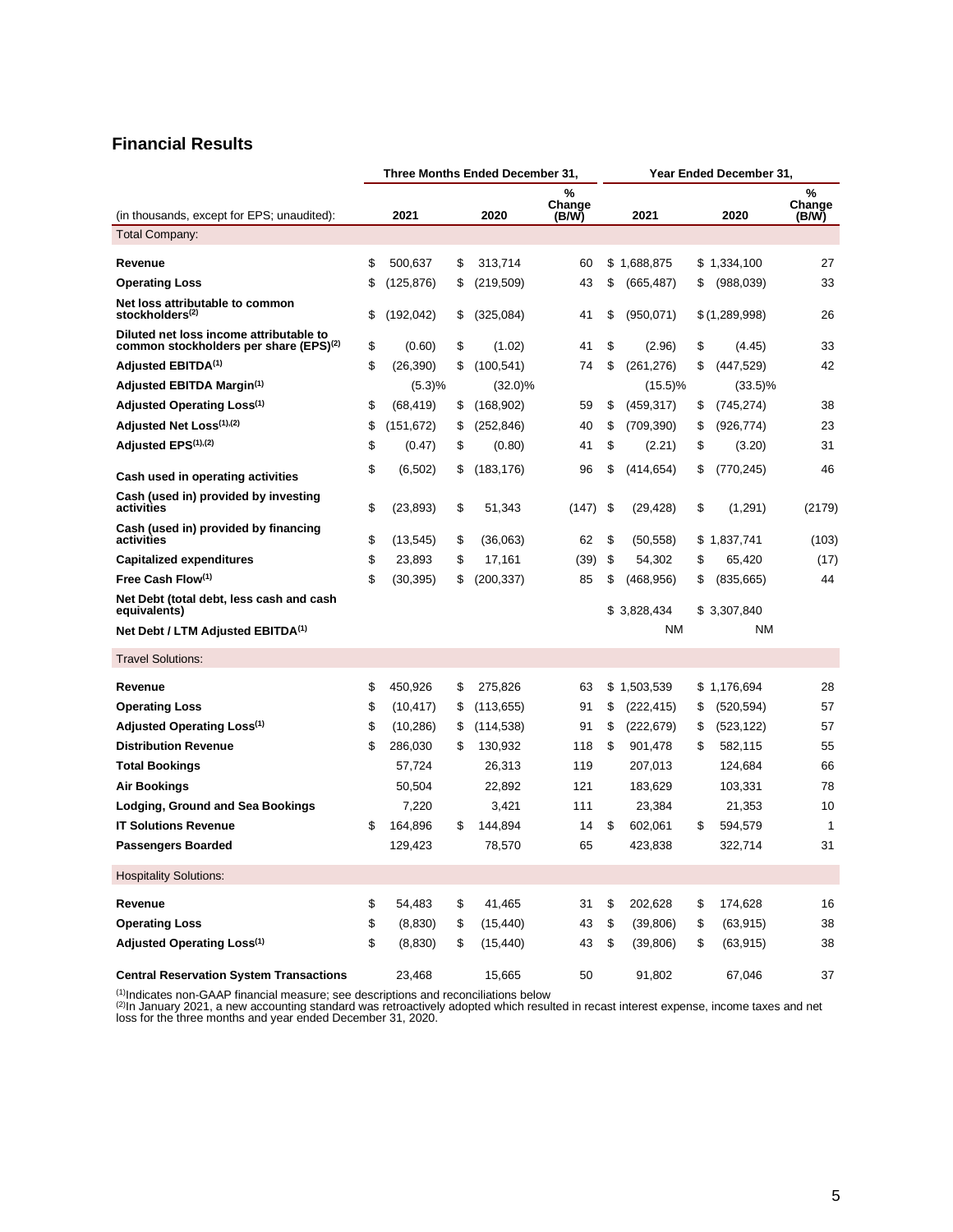#### **Financial Results**

|                                                                                               |    |            |    | Three Months Ended December 31, |                      |               | Year Ended December 31, |                  |                      |
|-----------------------------------------------------------------------------------------------|----|------------|----|---------------------------------|----------------------|---------------|-------------------------|------------------|----------------------|
| (in thousands, except for EPS; unaudited):                                                    |    | 2021       |    | 2020                            | %<br>Change<br>(B/W) |               | 2021                    | 2020             | %<br>Change<br>(B/W) |
| <b>Total Company:</b>                                                                         |    |            |    |                                 |                      |               |                         |                  |                      |
| Revenue                                                                                       | \$ | 500,637    | \$ | 313,714                         | 60                   | \$            | 1,688,875               | \$1,334,100      | 27                   |
| <b>Operating Loss</b>                                                                         | \$ | (125, 876) | \$ | (219, 509)                      | 43                   | \$            | (665, 487)              | \$<br>(988,039)  | 33                   |
| Net loss attributable to common<br>stockholders <sup>(2)</sup>                                | \$ | (192, 042) | \$ | (325,084)                       | 41                   | \$            | (950,071)               | \$(1,289,998)    | 26                   |
| Diluted net loss income attributable to<br>common stockholders per share (EPS) <sup>(2)</sup> | \$ | (0.60)     | \$ | (1.02)                          | 41                   | \$            | (2.96)                  | \$<br>(4.45)     | 33                   |
| Adjusted EBITDA <sup>(1)</sup>                                                                | \$ | (26, 390)  | \$ | (100, 541)                      | 74                   | \$            | (261, 276)              | \$<br>(447, 529) | 42                   |
| Adjusted EBITDA Margin <sup>(1)</sup>                                                         |    | (5.3)%     |    | $(32.0)\%$                      |                      |               | $(15.5)\%$              | $(33.5)\%$       |                      |
| Adjusted Operating Loss <sup>(1)</sup>                                                        | \$ | (68, 419)  | \$ | (168, 902)                      | 59                   | \$            | (459, 317)              | \$<br>(745, 274) | 38                   |
| Adjusted Net Loss(1),(2)                                                                      | \$ | (151, 672) | \$ | (252, 846)                      | 40                   | \$            | (709, 390)              | \$<br>(926,774)  | 23                   |
| Adjusted EPS <sup>(1),(2)</sup>                                                               | \$ | (0.47)     | \$ | (0.80)                          | 41                   | \$            | (2.21)                  | \$<br>(3.20)     | 31                   |
| Cash used in operating activities                                                             | \$ | (6, 502)   | \$ | (183, 176)                      | 96                   | \$            | (414, 654)              | \$<br>(770, 245) | 46                   |
| Cash (used in) provided by investing<br>activities                                            | \$ | (23, 893)  | \$ | 51,343                          | (147)                | \$            | (29, 428)               | \$<br>(1,291)    | (2179)               |
| Cash (used in) provided by financing<br>activities                                            | \$ | (13, 545)  | \$ | (36,063)                        | 62                   | \$            | (50, 558)               | \$1.837.741      | (103)                |
| <b>Capitalized expenditures</b>                                                               | \$ | 23,893     | \$ | 17,161                          | (39)                 | \$            | 54.302                  | \$<br>65,420     | (17)                 |
| Free Cash Flow(1)                                                                             | \$ | (30, 395)  | S  | (200, 337)                      | 85                   | \$            | (468, 956)              | \$<br>(835, 665) | 44                   |
| Net Debt (total debt, less cash and cash<br>equivalents)                                      |    |            |    |                                 |                      |               | \$3,828,434             | \$ 3,307,840     |                      |
| Net Debt / LTM Adjusted EBITDA <sup>(1)</sup>                                                 |    |            |    |                                 |                      |               | NM                      | <b>NM</b>        |                      |
| <b>Travel Solutions:</b>                                                                      |    |            |    |                                 |                      |               |                         |                  |                      |
| Revenue                                                                                       | \$ | 450,926    | \$ | 275,826                         | 63                   | \$            | 1,503,539               | \$1,176,694      | 28                   |
| <b>Operating Loss</b>                                                                         | \$ | (10, 417)  | \$ | (113, 655)                      | 91                   | \$            | (222, 415)              | \$<br>(520, 594) | 57                   |
| Adjusted Operating Loss <sup>(1)</sup>                                                        | \$ | (10, 286)  | \$ | (114, 538)                      | 91                   | \$            | (222, 679)              | \$<br>(523, 122) | 57                   |
| <b>Distribution Revenue</b>                                                                   | \$ | 286,030    | S  | 130,932                         | 118                  | \$            | 901,478                 | \$<br>582,115    | 55                   |
| <b>Total Bookings</b>                                                                         |    | 57,724     |    | 26,313                          | 119                  |               | 207,013                 | 124,684          | 66                   |
| Air Bookings                                                                                  |    | 50,504     |    | 22,892                          | 121                  |               | 183,629                 | 103,331          | 78                   |
| Lodging, Ground and Sea Bookings                                                              |    | 7,220      |    | 3,421                           | 111                  |               | 23,384                  | 21,353           | 10                   |
| <b>IT Solutions Revenue</b>                                                                   | S  | 164,896    | S  | 144,894                         | 14                   | \$            | 602,061                 | \$<br>594,579    | $\mathbf{1}$         |
| <b>Passengers Boarded</b>                                                                     |    | 129,423    |    | 78,570                          | 65                   |               | 423,838                 | 322,714          | 31                   |
| <b>Hospitality Solutions:</b>                                                                 |    |            |    |                                 |                      |               |                         |                  |                      |
| Revenue                                                                                       | \$ | 54,483     | \$ | 41,465                          | 31                   | \$            | 202,628                 | \$<br>174,628    | 16                   |
| <b>Operating Loss</b>                                                                         | \$ | (8,830)    | \$ | (15, 440)                       | 43                   | $\mathfrak s$ | (39, 806)               | \$<br>(63, 915)  | 38                   |
| Adjusted Operating Loss(1)                                                                    | \$ | (8,830)    | \$ | (15, 440)                       | 43                   | \$            | (39, 806)               | \$<br>(63, 915)  | 38                   |
| <b>Central Reservation System Transactions</b>                                                |    | 23,468     |    | 15,665                          | 50                   |               | 91,802                  | 67,046           | 37                   |

<sup>(1)</sup>Indicates non-GAAP financial measure; see descriptions and reconciliations below<br><sup>(2)</sup>In January 2021, a new accounting standard was retroactively adopted which resulted in recast interest expense, income taxes and ne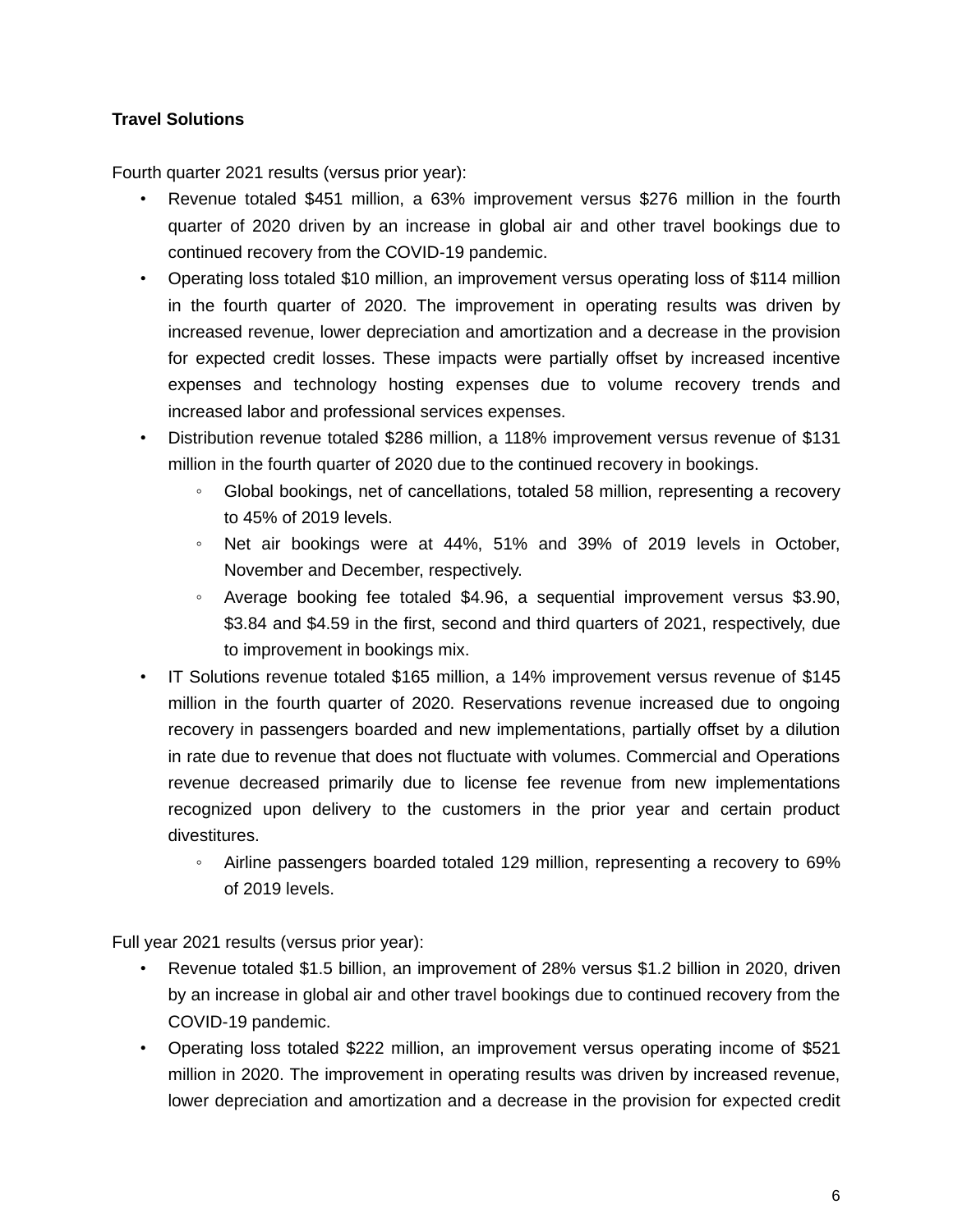## **Travel Solutions**

Fourth quarter 2021 results (versus prior year):

- Revenue totaled \$451 million, a 63% improvement versus \$276 million in the fourth quarter of 2020 driven by an increase in global air and other travel bookings due to continued recovery from the COVID-19 pandemic.
- Operating loss totaled \$10 million, an improvement versus operating loss of \$114 million in the fourth quarter of 2020. The improvement in operating results was driven by increased revenue, lower depreciation and amortization and a decrease in the provision for expected credit losses. These impacts were partially offset by increased incentive expenses and technology hosting expenses due to volume recovery trends and increased labor and professional services expenses.
- Distribution revenue totaled \$286 million, a 118% improvement versus revenue of \$131 million in the fourth quarter of 2020 due to the continued recovery in bookings.
	- Global bookings, net of cancellations, totaled 58 million, representing a recovery to 45% of 2019 levels.
	- Net air bookings were at 44%, 51% and 39% of 2019 levels in October, November and December, respectively.
	- Average booking fee totaled \$4.96, a sequential improvement versus \$3.90, \$3.84 and \$4.59 in the first, second and third quarters of 2021, respectively, due to improvement in bookings mix.
- IT Solutions revenue totaled \$165 million, a 14% improvement versus revenue of \$145 million in the fourth quarter of 2020. Reservations revenue increased due to ongoing recovery in passengers boarded and new implementations, partially offset by a dilution in rate due to revenue that does not fluctuate with volumes. Commercial and Operations revenue decreased primarily due to license fee revenue from new implementations recognized upon delivery to the customers in the prior year and certain product divestitures.
	- Airline passengers boarded totaled 129 million, representing a recovery to 69% of 2019 levels.

Full year 2021 results (versus prior year):

- Revenue totaled \$1.5 billion, an improvement of 28% versus \$1.2 billion in 2020, driven by an increase in global air and other travel bookings due to continued recovery from the COVID-19 pandemic.
- Operating loss totaled \$222 million, an improvement versus operating income of \$521 million in 2020. The improvement in operating results was driven by increased revenue, lower depreciation and amortization and a decrease in the provision for expected credit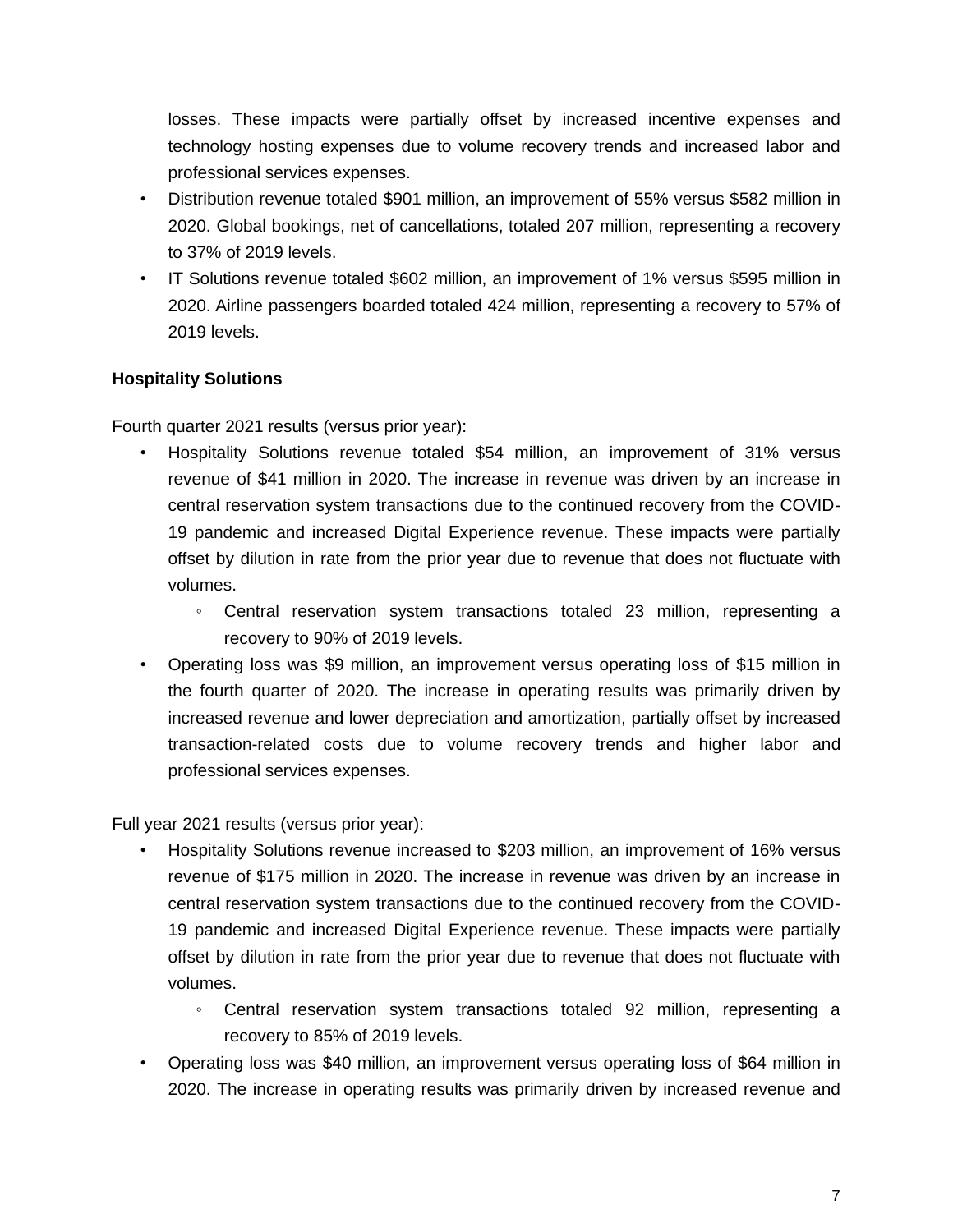losses. These impacts were partially offset by increased incentive expenses and technology hosting expenses due to volume recovery trends and increased labor and professional services expenses.

- Distribution revenue totaled \$901 million, an improvement of 55% versus \$582 million in 2020. Global bookings, net of cancellations, totaled 207 million, representing a recovery to 37% of 2019 levels.
- IT Solutions revenue totaled \$602 million, an improvement of 1% versus \$595 million in 2020. Airline passengers boarded totaled 424 million, representing a recovery to 57% of 2019 levels.

### **Hospitality Solutions**

Fourth quarter 2021 results (versus prior year):

- Hospitality Solutions revenue totaled \$54 million, an improvement of 31% versus revenue of \$41 million in 2020. The increase in revenue was driven by an increase in central reservation system transactions due to the continued recovery from the COVID-19 pandemic and increased Digital Experience revenue. These impacts were partially offset by dilution in rate from the prior year due to revenue that does not fluctuate with volumes.
	- Central reservation system transactions totaled 23 million, representing a recovery to 90% of 2019 levels.
- Operating loss was \$9 million, an improvement versus operating loss of \$15 million in the fourth quarter of 2020. The increase in operating results was primarily driven by increased revenue and lower depreciation and amortization, partially offset by increased transaction-related costs due to volume recovery trends and higher labor and professional services expenses.

Full year 2021 results (versus prior year):

- Hospitality Solutions revenue increased to \$203 million, an improvement of 16% versus revenue of \$175 million in 2020. The increase in revenue was driven by an increase in central reservation system transactions due to the continued recovery from the COVID-19 pandemic and increased Digital Experience revenue. These impacts were partially offset by dilution in rate from the prior year due to revenue that does not fluctuate with volumes.
	- Central reservation system transactions totaled 92 million, representing a recovery to 85% of 2019 levels.
- Operating loss was \$40 million, an improvement versus operating loss of \$64 million in 2020. The increase in operating results was primarily driven by increased revenue and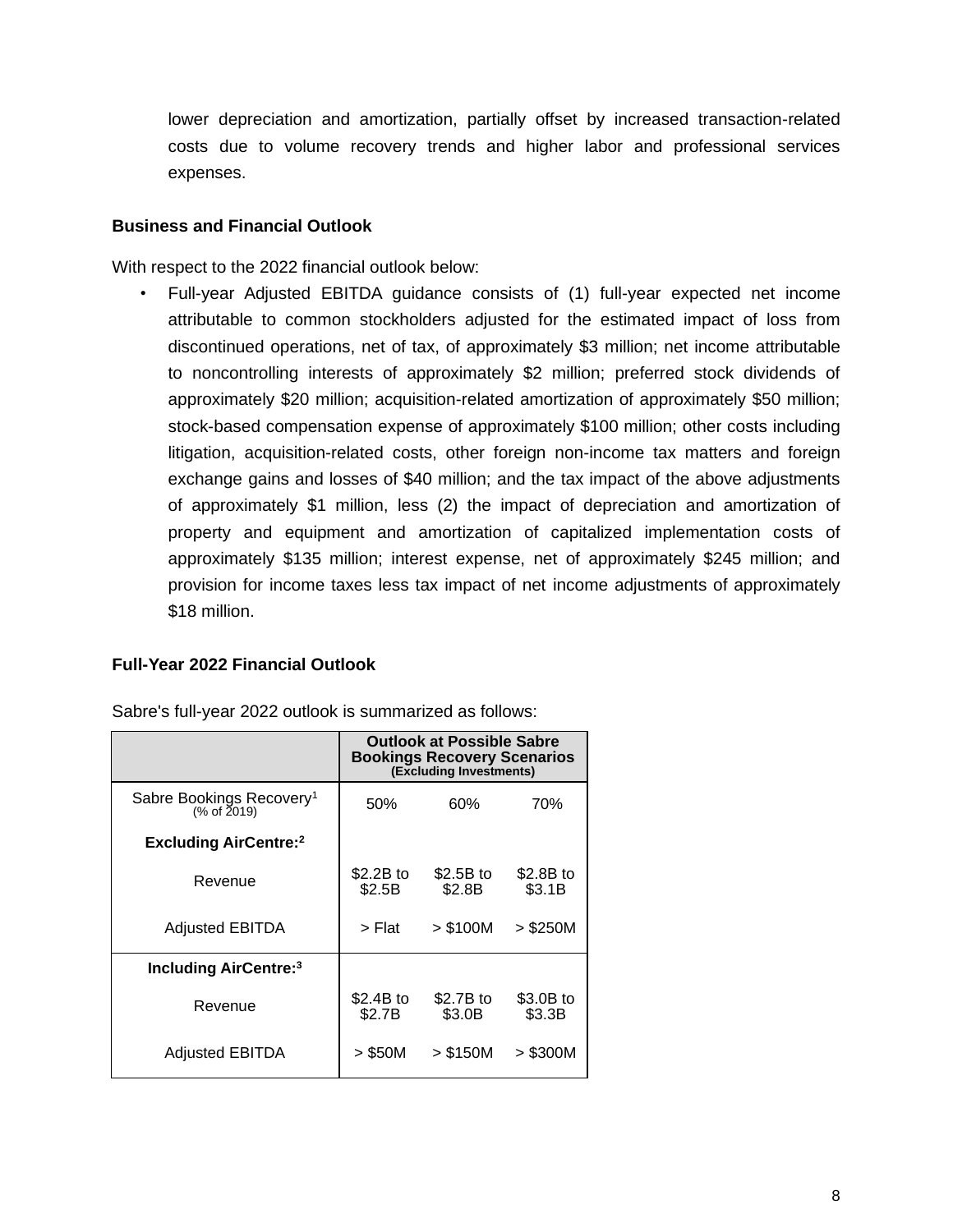lower depreciation and amortization, partially offset by increased transaction-related costs due to volume recovery trends and higher labor and professional services expenses.

#### **Business and Financial Outlook**

With respect to the 2022 financial outlook below:

• Full-year Adjusted EBITDA guidance consists of (1) full-year expected net income attributable to common stockholders adjusted for the estimated impact of loss from discontinued operations, net of tax, of approximately \$3 million; net income attributable to noncontrolling interests of approximately \$2 million; preferred stock dividends of approximately \$20 million; acquisition-related amortization of approximately \$50 million; stock-based compensation expense of approximately \$100 million; other costs including litigation, acquisition-related costs, other foreign non-income tax matters and foreign exchange gains and losses of \$40 million; and the tax impact of the above adjustments of approximately \$1 million, less (2) the impact of depreciation and amortization of property and equipment and amortization of capitalized implementation costs of approximately \$135 million; interest expense, net of approximately \$245 million; and provision for income taxes less tax impact of net income adjustments of approximately \$18 million.

#### **Full-Year 2022 Financial Outlook**

|                                                     | Outlook at Possible Sabre<br><b>Bookings Recovery Scenarios</b><br>(Excluding Investments) |                     |                     |  |  |  |  |  |  |  |
|-----------------------------------------------------|--------------------------------------------------------------------------------------------|---------------------|---------------------|--|--|--|--|--|--|--|
| Sabre Bookings Recovery <sup>1</sup><br>(% of 2019) | 50%                                                                                        | 60%                 | 70%                 |  |  |  |  |  |  |  |
| <b>Excluding AirCentre:</b> 2                       |                                                                                            |                     |                     |  |  |  |  |  |  |  |
| Revenue                                             | \$2.2B to<br>\$2.5B                                                                        | \$2.5B to<br>\$2.8B | \$2.8B to<br>\$3.1B |  |  |  |  |  |  |  |
| <b>Adjusted EBITDA</b>                              | > Flat                                                                                     | > \$100M            | $>$ \$250M          |  |  |  |  |  |  |  |
| <b>Including AirCentre:</b> 3                       |                                                                                            |                     |                     |  |  |  |  |  |  |  |
| Revenue                                             | \$2.4B to<br>\$2.7B                                                                        | \$2.7B to<br>\$3.0B | \$3.0B to<br>\$3.3B |  |  |  |  |  |  |  |
| <b>Adjusted EBITDA</b>                              | $>$ \$50M                                                                                  | > \$150M            | $>$ \$300M          |  |  |  |  |  |  |  |

Sabre's full-year 2022 outlook is summarized as follows: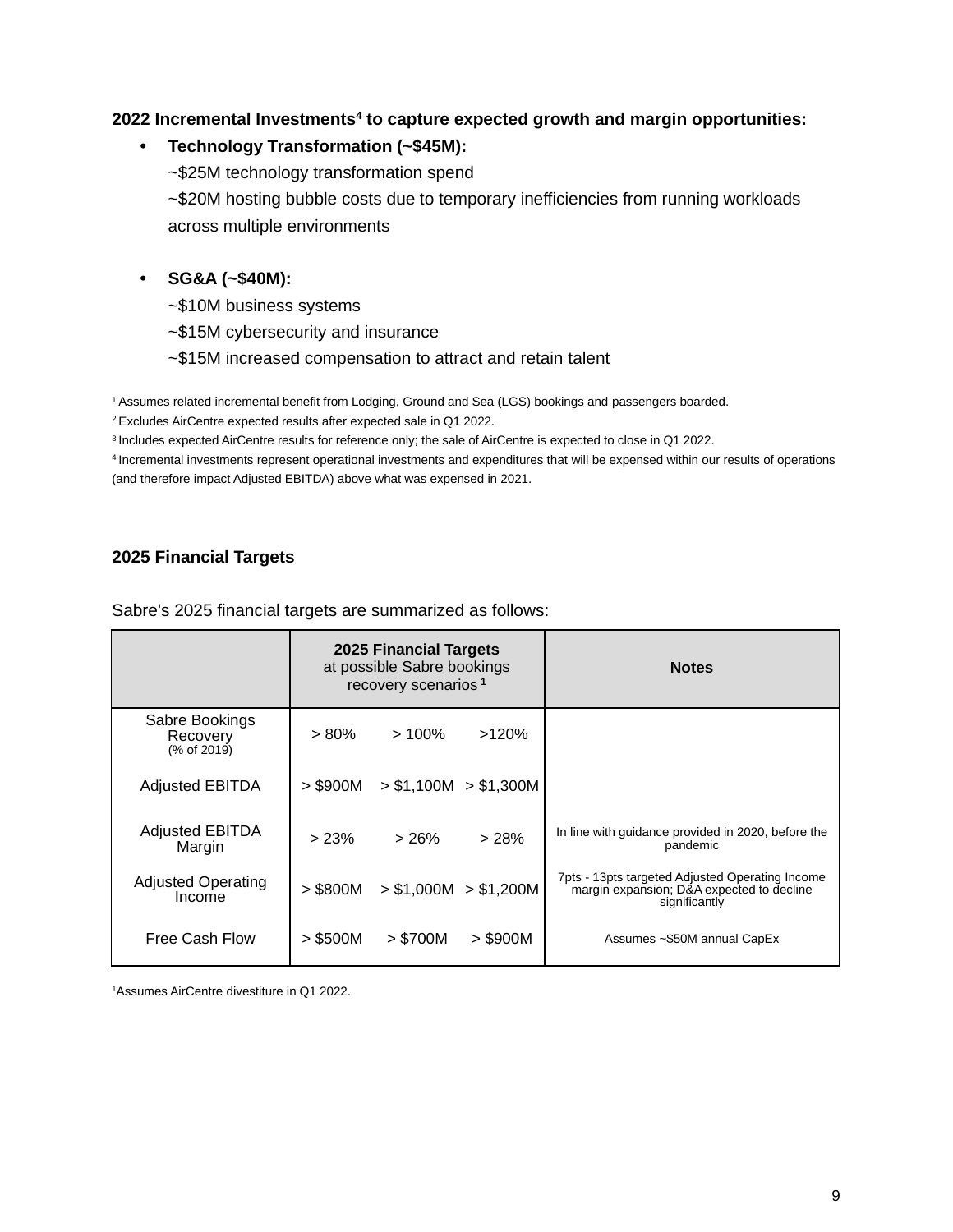#### **2022 Incremental Investments<sup>4</sup> to capture expected growth and margin opportunities:**

#### **• Technology Transformation (~\$45M):**

~\$25M technology transformation spend

~\$20M hosting bubble costs due to temporary inefficiencies from running workloads across multiple environments

#### **• SG&A (~\$40M):**

- ~\$10M business systems
- ~\$15M cybersecurity and insurance
- ~\$15M increased compensation to attract and retain talent

<sup>1</sup>Assumes related incremental benefit from Lodging, Ground and Sea (LGS) bookings and passengers boarded.

<sup>2</sup>Excludes AirCentre expected results after expected sale in Q1 2022.

<sup>3</sup>Includes expected AirCentre results for reference only; the sale of AirCentre is expected to close in Q1 2022.

<sup>4</sup>Incremental investments represent operational investments and expenditures that will be expensed within our results of operations (and therefore impact Adjusted EBITDA) above what was expensed in 2021.

#### **2025 Financial Targets**

Sabre's 2025 financial targets are summarized as follows:

|                                           |            | 2025 Financial Targets<br>at possible Sabre bookings<br>recovery scenarios <sup>1</sup> |                       | <b>Notes</b>                                                                                                  |
|-------------------------------------------|------------|-----------------------------------------------------------------------------------------|-----------------------|---------------------------------------------------------------------------------------------------------------|
| Sabre Bookings<br>Recovery<br>(% of 2019) | $> 80\%$   | $>100\%$                                                                                | >120%                 |                                                                                                               |
| <b>Adjusted EBITDA</b>                    | $>$ \$900M |                                                                                         | > \$1,100M > \$1,300M |                                                                                                               |
| <b>Adjusted EBITDA</b><br>Margin          | > 23%      | >26%                                                                                    | >28%                  | In line with guidance provided in 2020, before the<br>pandemic                                                |
| <b>Adjusted Operating</b><br>Income       | $>$ \$800M |                                                                                         | > \$1,000M > \$1,200M | 7pts - 13pts targeted Adjusted Operating Income<br>margin expansion; D&A expected to decline<br>significantly |
| Free Cash Flow                            | $>$ \$500M | > \$700M                                                                                | $>$ \$900M            | Assumes ~\$50M annual CapEx                                                                                   |

1Assumes AirCentre divestiture in Q1 2022.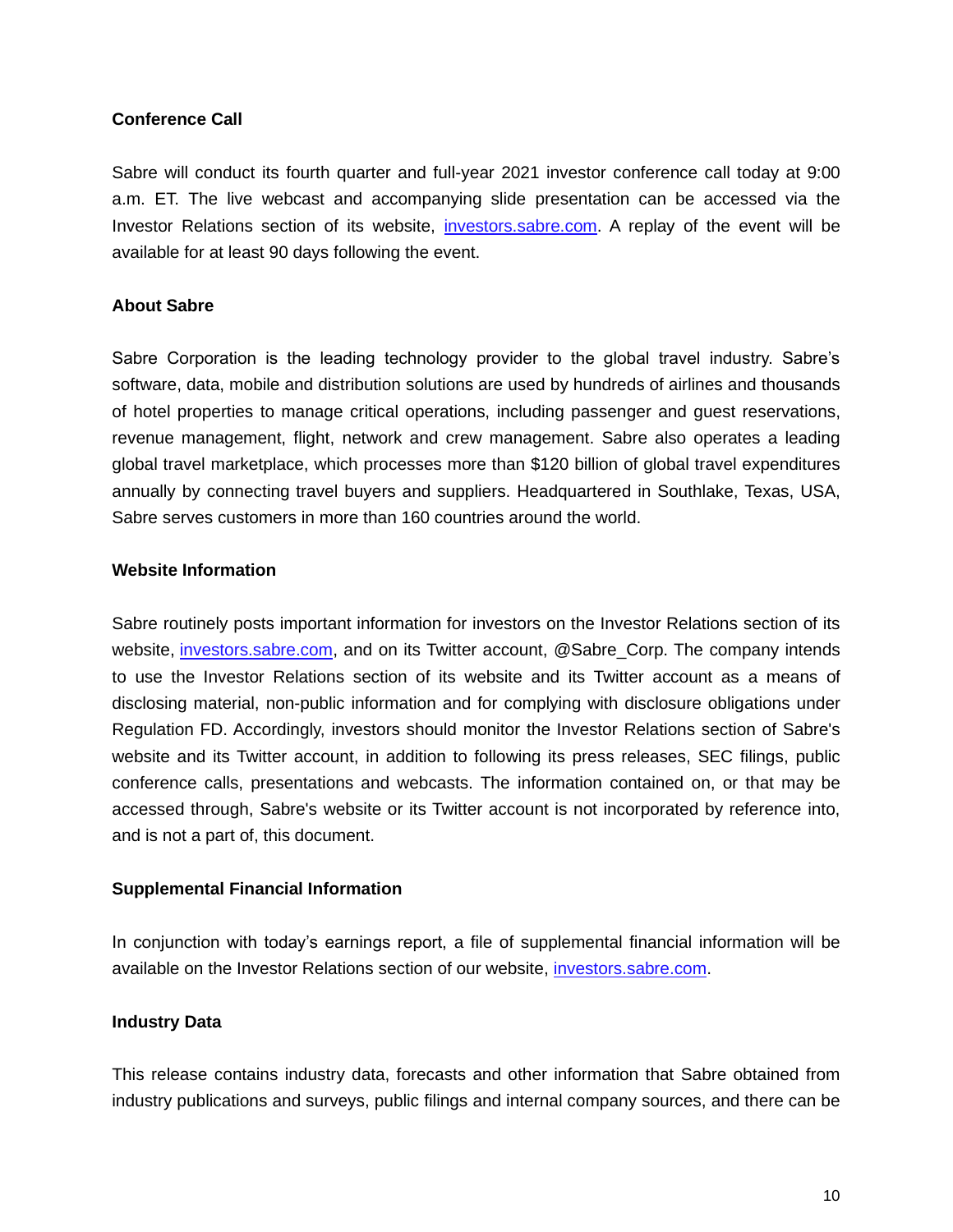#### **Conference Call**

Sabre will conduct its fourth quarter and full-year 2021 investor conference call today at 9:00 a.m. ET. The live webcast and accompanying slide presentation can be accessed via the Investor Relations section of its website, investors.sabre.com. A replay of the event will be available for at least 90 days following the event.

#### **About Sabre**

Sabre Corporation is the leading technology provider to the global travel industry. Sabre's software, data, mobile and distribution solutions are used by hundreds of airlines and thousands of hotel properties to manage critical operations, including passenger and guest reservations, revenue management, flight, network and crew management. Sabre also operates a leading global travel marketplace, which processes more than \$120 billion of global travel expenditures annually by connecting travel buyers and suppliers. Headquartered in Southlake, Texas, USA, Sabre serves customers in more than 160 countries around the world.

#### **Website Information**

Sabre routinely posts important information for investors on the Investor Relations section of its website, investors.sabre.com, and on its Twitter account, @Sabre\_Corp. The company intends to use the Investor Relations section of its website and its Twitter account as a means of disclosing material, non-public information and for complying with disclosure obligations under Regulation FD. Accordingly, investors should monitor the Investor Relations section of Sabre's website and its Twitter account, in addition to following its press releases, SEC filings, public conference calls, presentations and webcasts. The information contained on, or that may be accessed through, Sabre's website or its Twitter account is not incorporated by reference into, and is not a part of, this document.

#### **Supplemental Financial Information**

In conjunction with today's earnings report, a file of supplemental financial information will be available on the Investor Relations section of our website, investors.sabre.com.

#### **Industry Data**

This release contains industry data, forecasts and other information that Sabre obtained from industry publications and surveys, public filings and internal company sources, and there can be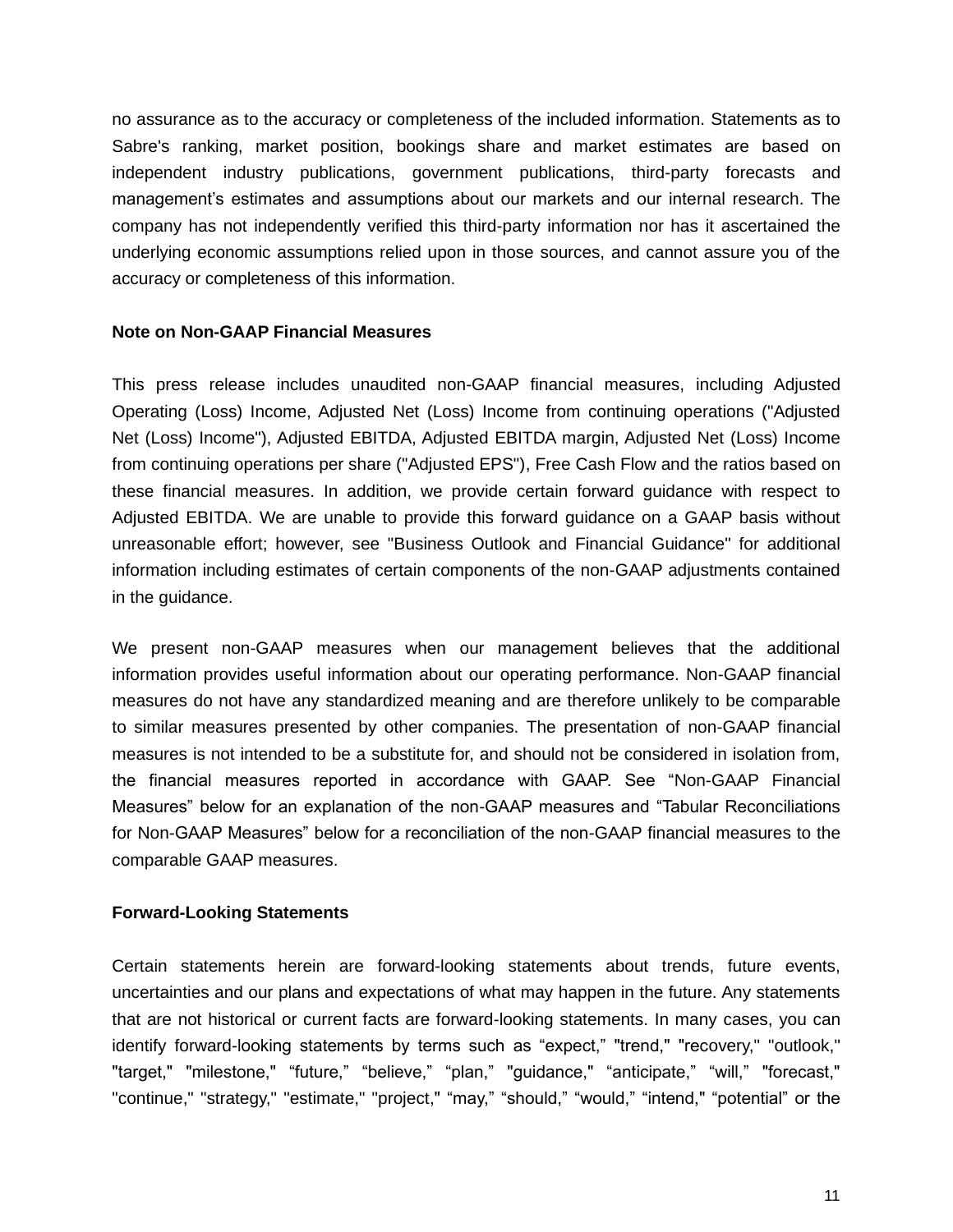no assurance as to the accuracy or completeness of the included information. Statements as to Sabre's ranking, market position, bookings share and market estimates are based on independent industry publications, government publications, third-party forecasts and management's estimates and assumptions about our markets and our internal research. The company has not independently verified this third-party information nor has it ascertained the underlying economic assumptions relied upon in those sources, and cannot assure you of the accuracy or completeness of this information.

#### **Note on Non-GAAP Financial Measures**

This press release includes unaudited non-GAAP financial measures, including Adjusted Operating (Loss) Income, Adjusted Net (Loss) Income from continuing operations ("Adjusted Net (Loss) Income"), Adjusted EBITDA, Adjusted EBITDA margin, Adjusted Net (Loss) Income from continuing operations per share ("Adjusted EPS"), Free Cash Flow and the ratios based on these financial measures. In addition, we provide certain forward guidance with respect to Adjusted EBITDA. We are unable to provide this forward guidance on a GAAP basis without unreasonable effort; however, see "Business Outlook and Financial Guidance" for additional information including estimates of certain components of the non-GAAP adjustments contained in the guidance.

We present non-GAAP measures when our management believes that the additional information provides useful information about our operating performance. Non-GAAP financial measures do not have any standardized meaning and are therefore unlikely to be comparable to similar measures presented by other companies. The presentation of non-GAAP financial measures is not intended to be a substitute for, and should not be considered in isolation from, the financial measures reported in accordance with GAAP. See "Non-GAAP Financial Measures" below for an explanation of the non-GAAP measures and "Tabular Reconciliations for Non-GAAP Measures" below for a reconciliation of the non-GAAP financial measures to the comparable GAAP measures.

#### **Forward-Looking Statements**

Certain statements herein are forward-looking statements about trends, future events, uncertainties and our plans and expectations of what may happen in the future. Any statements that are not historical or current facts are forward-looking statements. In many cases, you can identify forward-looking statements by terms such as "expect," "trend," "recovery," "outlook," "target," "milestone," "future," "believe," "plan," "guidance," "anticipate," "will," "forecast," "continue," "strategy," "estimate," "project," "may," "should," "would," "intend," "potential" or the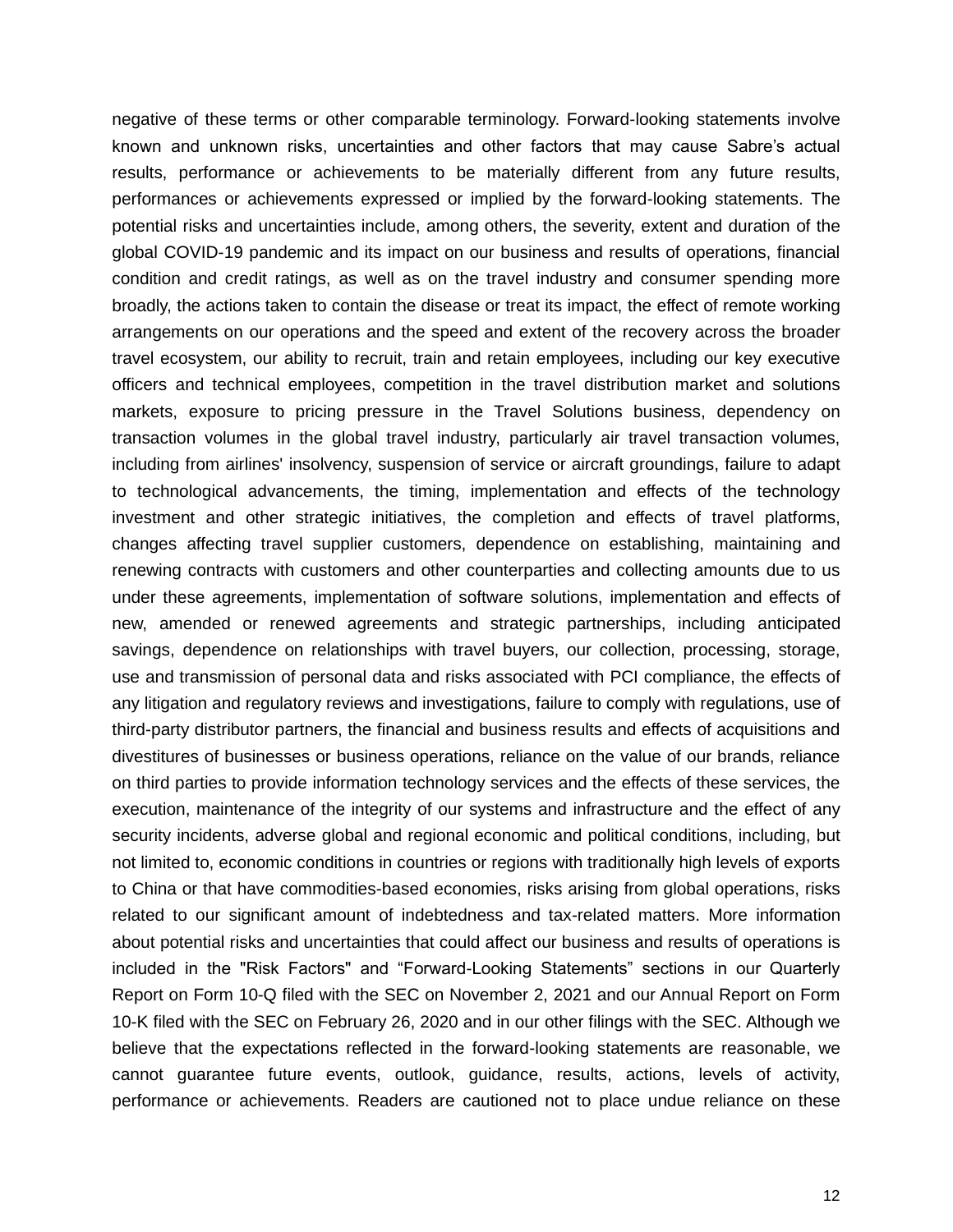negative of these terms or other comparable terminology. Forward-looking statements involve known and unknown risks, uncertainties and other factors that may cause Sabre's actual results, performance or achievements to be materially different from any future results, performances or achievements expressed or implied by the forward-looking statements. The potential risks and uncertainties include, among others, the severity, extent and duration of the global COVID-19 pandemic and its impact on our business and results of operations, financial condition and credit ratings, as well as on the travel industry and consumer spending more broadly, the actions taken to contain the disease or treat its impact, the effect of remote working arrangements on our operations and the speed and extent of the recovery across the broader travel ecosystem, our ability to recruit, train and retain employees, including our key executive officers and technical employees, competition in the travel distribution market and solutions markets, exposure to pricing pressure in the Travel Solutions business, dependency on transaction volumes in the global travel industry, particularly air travel transaction volumes, including from airlines' insolvency, suspension of service or aircraft groundings, failure to adapt to technological advancements, the timing, implementation and effects of the technology investment and other strategic initiatives, the completion and effects of travel platforms, changes affecting travel supplier customers, dependence on establishing, maintaining and renewing contracts with customers and other counterparties and collecting amounts due to us under these agreements, implementation of software solutions, implementation and effects of new, amended or renewed agreements and strategic partnerships, including anticipated savings, dependence on relationships with travel buyers, our collection, processing, storage, use and transmission of personal data and risks associated with PCI compliance, the effects of any litigation and regulatory reviews and investigations, failure to comply with regulations, use of third-party distributor partners, the financial and business results and effects of acquisitions and divestitures of businesses or business operations, reliance on the value of our brands, reliance on third parties to provide information technology services and the effects of these services, the execution, maintenance of the integrity of our systems and infrastructure and the effect of any security incidents, adverse global and regional economic and political conditions, including, but not limited to, economic conditions in countries or regions with traditionally high levels of exports to China or that have commodities-based economies, risks arising from global operations, risks related to our significant amount of indebtedness and tax-related matters. More information about potential risks and uncertainties that could affect our business and results of operations is included in the "Risk Factors" and "Forward-Looking Statements" sections in our Quarterly Report on Form 10-Q filed with the SEC on November 2, 2021 and our Annual Report on Form 10-K filed with the SEC on February 26, 2020 and in our other filings with the SEC. Although we believe that the expectations reflected in the forward-looking statements are reasonable, we cannot guarantee future events, outlook, guidance, results, actions, levels of activity, performance or achievements. Readers are cautioned not to place undue reliance on these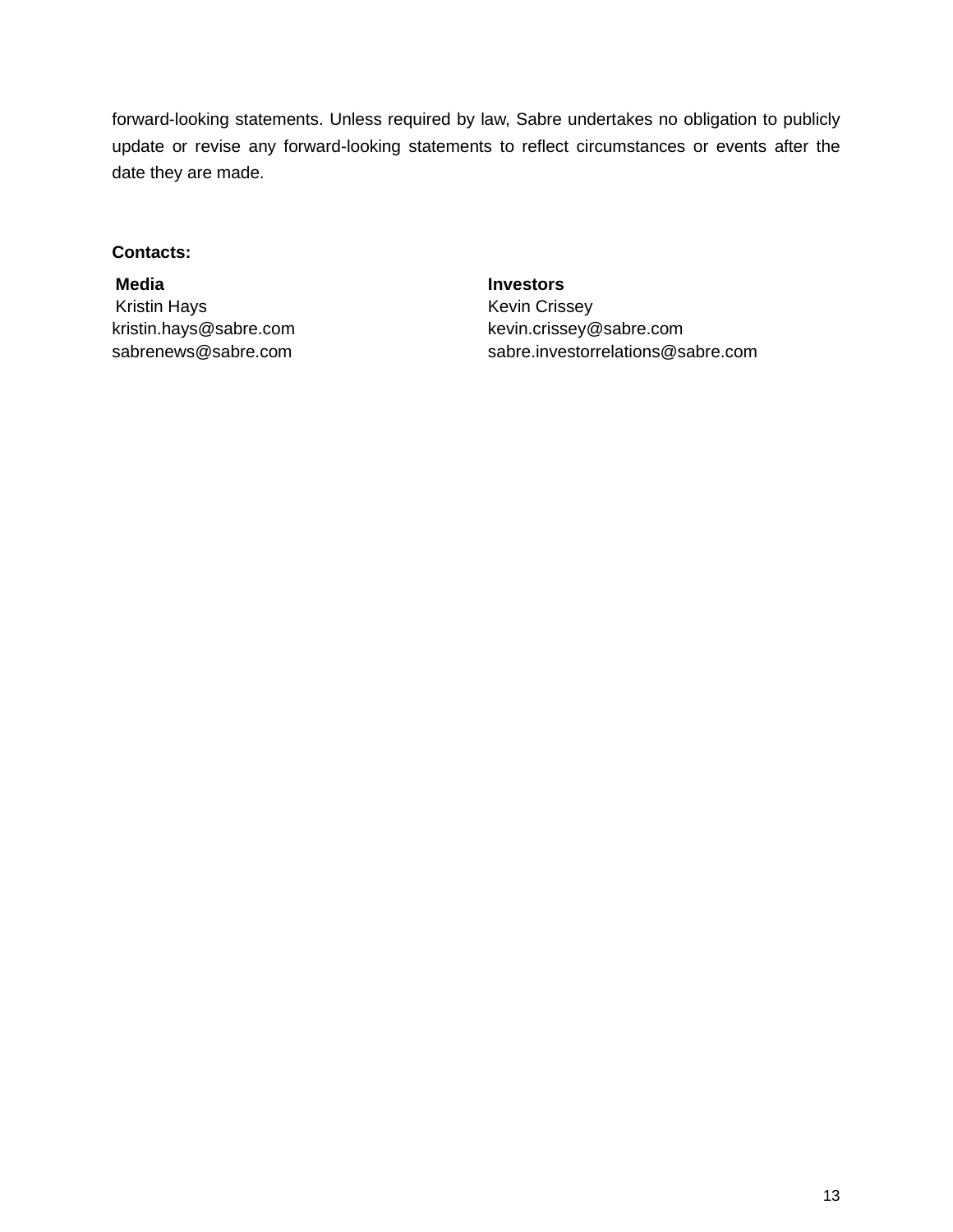forward-looking statements. Unless required by law, Sabre undertakes no obligation to publicly update or revise any forward-looking statements to reflect circumstances or events after the date they are made.

#### **Contacts:**

Kristin Hays **Keys** Kevin Crissey

**Media Investors** kristin.hays@sabre.com kevin.crissey@sabre.com sabrenews@sabre.com sabre.investorrelations@sabre.com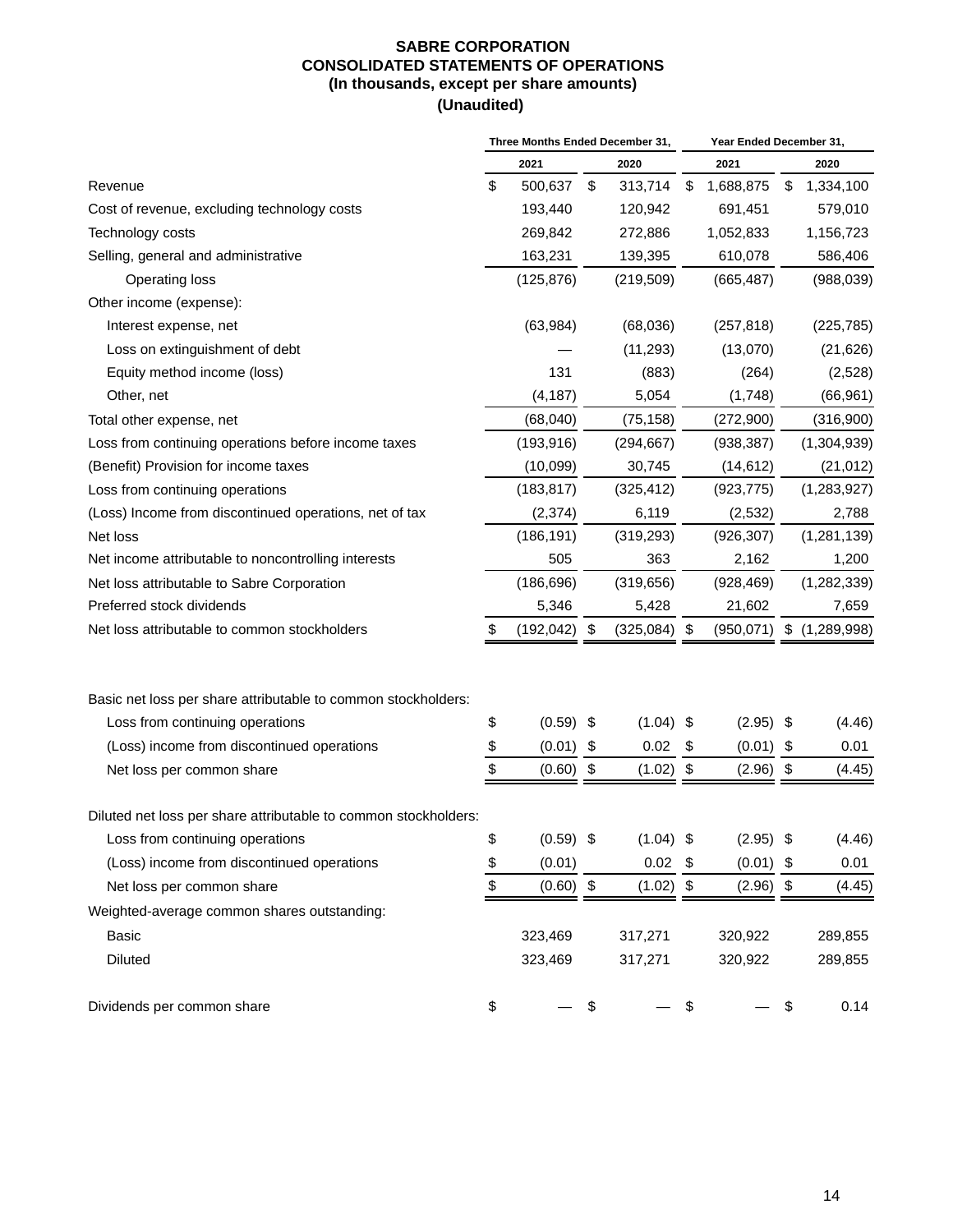#### **SABRE CORPORATION CONSOLIDATED STATEMENTS OF OPERATIONS (In thousands, except per share amounts) (Unaudited)**

|                                                                 | Three Months Ended December 31, |                 |    |                |     |             | Year Ended December 31, |                          |  |
|-----------------------------------------------------------------|---------------------------------|-----------------|----|----------------|-----|-------------|-------------------------|--------------------------|--|
|                                                                 |                                 | 2021            |    | 2020           |     | 2021        |                         | 2020                     |  |
| Revenue                                                         | \$                              | 500,637         | \$ | 313,714        | \$  | 1,688,875   | \$                      | 1,334,100                |  |
| Cost of revenue, excluding technology costs                     |                                 | 193,440         |    | 120,942        |     | 691,451     |                         | 579,010                  |  |
| Technology costs                                                |                                 | 269,842         |    | 272,886        |     | 1,052,833   |                         | 1,156,723                |  |
| Selling, general and administrative                             |                                 | 163,231         |    | 139,395        |     | 610,078     |                         | 586,406                  |  |
| Operating loss                                                  |                                 | (125, 876)      |    | (219, 509)     |     | (665, 487)  |                         | (988, 039)               |  |
| Other income (expense):                                         |                                 |                 |    |                |     |             |                         |                          |  |
| Interest expense, net                                           |                                 | (63, 984)       |    | (68,036)       |     | (257, 818)  |                         | (225, 785)               |  |
| Loss on extinguishment of debt                                  |                                 |                 |    | (11, 293)      |     | (13,070)    |                         | (21, 626)                |  |
| Equity method income (loss)                                     |                                 | 131             |    | (883)          |     | (264)       |                         | (2,528)                  |  |
| Other, net                                                      |                                 | (4, 187)        |    | 5,054          |     | (1,748)     |                         | (66, 961)                |  |
| Total other expense, net                                        |                                 | (68,040)        |    | (75, 158)      |     | (272,900)   |                         | (316,900)                |  |
| Loss from continuing operations before income taxes             |                                 | (193, 916)      |    | (294, 667)     |     | (938, 387)  |                         | (1,304,939)              |  |
| (Benefit) Provision for income taxes                            |                                 | (10,099)        |    | 30,745         |     | (14, 612)   |                         | (21, 012)                |  |
| Loss from continuing operations                                 |                                 | (183, 817)      |    | (325, 412)     |     | (923, 775)  |                         | (1,283,927)              |  |
| (Loss) Income from discontinued operations, net of tax          |                                 | (2, 374)        |    | 6,119          |     | (2,532)     |                         | 2,788                    |  |
| Net loss                                                        |                                 | (186, 191)      |    | (319, 293)     |     | (926, 307)  |                         | (1,281,139)              |  |
| Net income attributable to noncontrolling interests             |                                 | 505             |    | 363            |     | 2,162       |                         | 1,200                    |  |
| Net loss attributable to Sabre Corporation                      |                                 | (186, 696)      |    | (319, 656)     |     | (928, 469)  |                         | (1, 282, 339)            |  |
| Preferred stock dividends                                       |                                 | 5,346           |    | 5,428          |     | 21,602      |                         | 7,659                    |  |
| Net loss attributable to common stockholders                    | \$                              | $(192, 042)$ \$ |    | $(325,084)$ \$ |     |             |                         | (950,071) \$ (1,289,998) |  |
|                                                                 |                                 |                 |    |                |     |             |                         |                          |  |
| Basic net loss per share attributable to common stockholders:   |                                 |                 |    |                |     |             |                         |                          |  |
| Loss from continuing operations                                 | \$                              | $(0.59)$ \$     |    | $(1.04)$ \$    |     | $(2.95)$ \$ |                         | (4.46)                   |  |
| (Loss) income from discontinued operations                      | \$                              | (0.01)          | \$ | 0.02           | \$  | (0.01)      | \$                      | 0.01                     |  |
| Net loss per common share                                       | \$                              | $(0.60)$ \$     |    | (1.02)         | \$  | $(2.96)$ \$ |                         | (4.45)                   |  |
| Diluted net loss per share attributable to common stockholders: |                                 |                 |    |                |     |             |                         |                          |  |
| Loss from continuing operations                                 | \$                              | $(0.59)$ \$     |    | $(1.04)$ \$    |     | $(2.95)$ \$ |                         | (4.46)                   |  |
| (Loss) income from discontinued operations                      | \$                              | (0.01)          |    | 0.02           | -\$ | $(0.01)$ \$ |                         | 0.01                     |  |
| Net loss per common share                                       | \$                              | $(0.60)$ \$     |    | $(1.02)$ \$    |     | $(2.96)$ \$ |                         | (4.45)                   |  |
| Weighted-average common shares outstanding:                     |                                 |                 |    |                |     |             |                         |                          |  |
| <b>Basic</b>                                                    |                                 | 323,469         |    | 317,271        |     | 320,922     |                         | 289,855                  |  |
| Diluted                                                         |                                 | 323,469         |    | 317,271        |     | 320,922     |                         | 289,855                  |  |
| Dividends per common share                                      | \$                              |                 | \$ |                | \$  |             | \$                      | 0.14                     |  |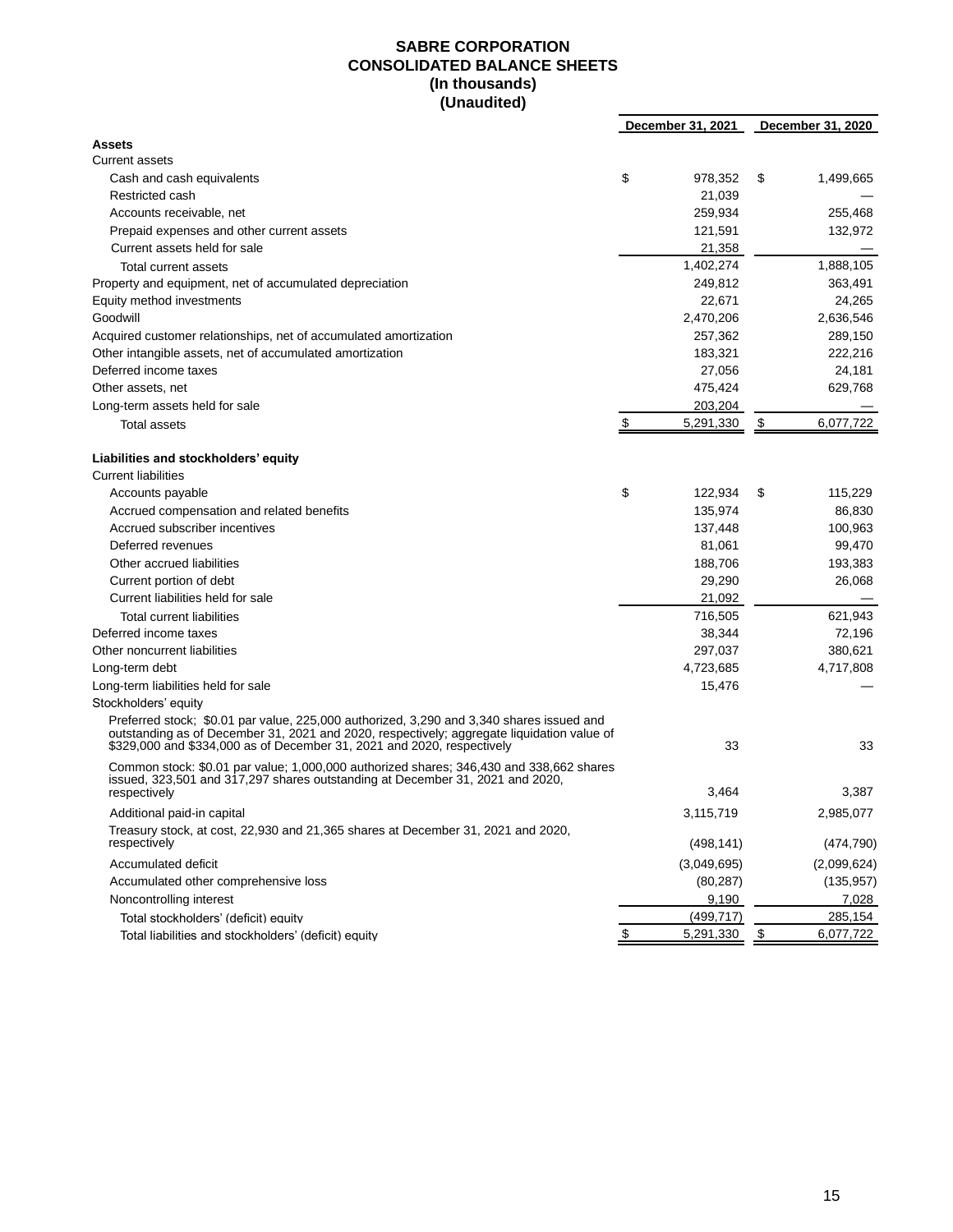#### **SABRE CORPORATION CONSOLIDATED BALANCE SHEETS (In thousands) (Unaudited)**

|                                                                                                                                                                                                                                                                  | December 31, 2021 |           | December 31, 2020 |
|------------------------------------------------------------------------------------------------------------------------------------------------------------------------------------------------------------------------------------------------------------------|-------------------|-----------|-------------------|
| <b>Assets</b>                                                                                                                                                                                                                                                    |                   |           |                   |
| <b>Current assets</b>                                                                                                                                                                                                                                            |                   |           |                   |
| Cash and cash equivalents                                                                                                                                                                                                                                        | \$<br>978,352     | \$        | 1,499,665         |
| Restricted cash                                                                                                                                                                                                                                                  | 21,039            |           |                   |
| Accounts receivable, net                                                                                                                                                                                                                                         | 259,934           |           | 255,468           |
| Prepaid expenses and other current assets                                                                                                                                                                                                                        | 121,591           |           | 132,972           |
| Current assets held for sale                                                                                                                                                                                                                                     | 21,358            |           |                   |
| Total current assets                                                                                                                                                                                                                                             | 1,402,274         |           | 1,888,105         |
| Property and equipment, net of accumulated depreciation                                                                                                                                                                                                          | 249,812           |           | 363,491           |
| Equity method investments                                                                                                                                                                                                                                        | 22.671            |           | 24,265            |
| Goodwill                                                                                                                                                                                                                                                         | 2,470,206         |           | 2,636,546         |
| Acquired customer relationships, net of accumulated amortization                                                                                                                                                                                                 | 257,362           |           | 289,150           |
| Other intangible assets, net of accumulated amortization                                                                                                                                                                                                         | 183,321           |           | 222,216           |
| Deferred income taxes                                                                                                                                                                                                                                            | 27,056            |           | 24,181            |
| Other assets, net                                                                                                                                                                                                                                                | 475,424           |           | 629,768           |
| Long-term assets held for sale                                                                                                                                                                                                                                   | 203,204           |           |                   |
| Total assets                                                                                                                                                                                                                                                     | \$<br>5,291,330   | \$        | 6,077,722         |
|                                                                                                                                                                                                                                                                  |                   |           |                   |
| Liabilities and stockholders' equity                                                                                                                                                                                                                             |                   |           |                   |
| <b>Current liabilities</b>                                                                                                                                                                                                                                       |                   |           |                   |
| Accounts payable                                                                                                                                                                                                                                                 | \$<br>122,934     | \$        | 115,229           |
| Accrued compensation and related benefits                                                                                                                                                                                                                        | 135,974           |           | 86,830            |
| Accrued subscriber incentives                                                                                                                                                                                                                                    | 137,448           |           | 100,963           |
| Deferred revenues                                                                                                                                                                                                                                                | 81,061            |           | 99,470            |
| Other accrued liabilities                                                                                                                                                                                                                                        | 188,706           |           | 193,383           |
| Current portion of debt                                                                                                                                                                                                                                          | 29,290            |           | 26,068            |
| Current liabilities held for sale                                                                                                                                                                                                                                | 21,092            |           |                   |
| Total current liabilities                                                                                                                                                                                                                                        | 716,505           |           | 621,943           |
| Deferred income taxes                                                                                                                                                                                                                                            | 38,344            |           | 72,196            |
| Other noncurrent liabilities                                                                                                                                                                                                                                     | 297,037           |           | 380,621           |
| Long-term debt                                                                                                                                                                                                                                                   | 4,723,685         |           | 4,717,808         |
| Long-term liabilities held for sale                                                                                                                                                                                                                              | 15,476            |           |                   |
| Stockholders' equity                                                                                                                                                                                                                                             |                   |           |                   |
| Preferred stock; \$0.01 par value, 225,000 authorized, 3,290 and 3,340 shares issued and<br>outstanding as of December 31, 2021 and 2020, respectively; aggregate liquidation value of<br>\$329,000 and \$334,000 as of December 31, 2021 and 2020, respectively | 33                |           | 33                |
| Common stock: \$0.01 par value; 1,000,000 authorized shares; 346,430 and 338,662 shares                                                                                                                                                                          |                   |           |                   |
| issued, 323,501 and 317,297 shares outstanding at December 31, 2021 and 2020,                                                                                                                                                                                    |                   |           |                   |
| respectively                                                                                                                                                                                                                                                     | 3,464             |           | 3,387             |
| Additional paid-in capital                                                                                                                                                                                                                                       | 3,115,719         |           | 2,985,077         |
| Treasury stock, at cost, 22,930 and 21,365 shares at December 31, 2021 and 2020,                                                                                                                                                                                 |                   |           |                   |
| respectively                                                                                                                                                                                                                                                     | (498, 141)        |           | (474, 790)        |
| Accumulated deficit                                                                                                                                                                                                                                              | (3,049,695)       |           | (2,099,624)       |
| Accumulated other comprehensive loss                                                                                                                                                                                                                             | (80, 287)         |           | (135, 957)        |
| Noncontrolling interest                                                                                                                                                                                                                                          | 9,190             |           | 7,028             |
| Total stockholders' (deficit) equity                                                                                                                                                                                                                             | (499, 717)        |           | 285,154           |
| Total liabilities and stockholders' (deficit) equity                                                                                                                                                                                                             | 5,291,330         | <u>\$</u> | 6,077,722         |
|                                                                                                                                                                                                                                                                  |                   |           |                   |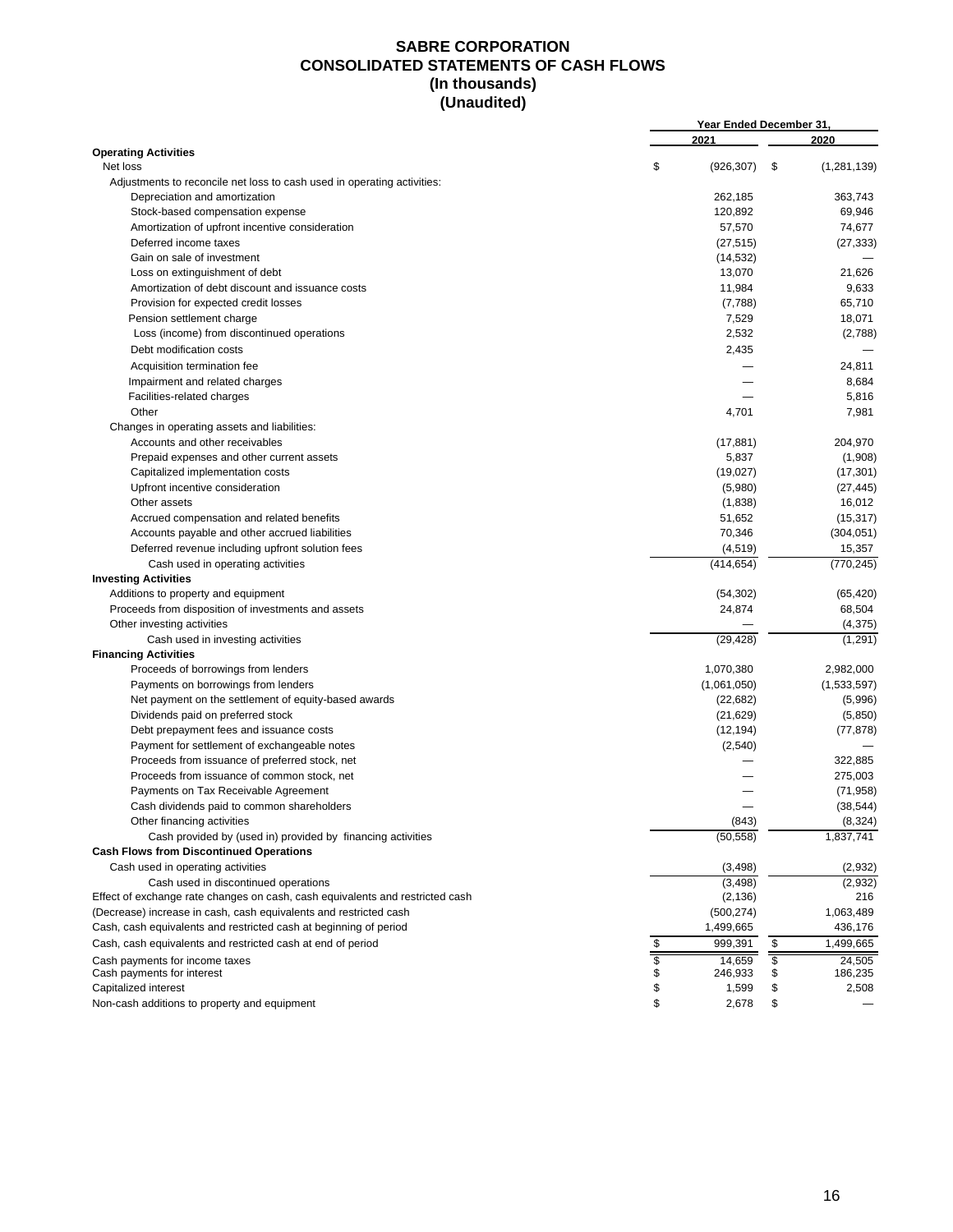#### **SABRE CORPORATION CONSOLIDATED STATEMENTS OF CASH FLOWS (In thousands) (Unaudited)**

|                                                                               | Year Ended December 31, |             |                          |               |  |  |  |  |  |
|-------------------------------------------------------------------------------|-------------------------|-------------|--------------------------|---------------|--|--|--|--|--|
|                                                                               |                         | 2021        |                          | 2020          |  |  |  |  |  |
| <b>Operating Activities</b>                                                   |                         |             |                          |               |  |  |  |  |  |
| Net loss                                                                      | \$                      | (926, 307)  | \$                       | (1, 281, 139) |  |  |  |  |  |
| Adjustments to reconcile net loss to cash used in operating activities:       |                         |             |                          |               |  |  |  |  |  |
| Depreciation and amortization                                                 |                         | 262,185     |                          | 363,743       |  |  |  |  |  |
| Stock-based compensation expense                                              |                         | 120,892     |                          | 69,946        |  |  |  |  |  |
| Amortization of upfront incentive consideration                               |                         | 57,570      |                          | 74,677        |  |  |  |  |  |
| Deferred income taxes                                                         |                         | (27, 515)   |                          | (27, 333)     |  |  |  |  |  |
| Gain on sale of investment                                                    |                         | (14, 532)   |                          |               |  |  |  |  |  |
| Loss on extinguishment of debt                                                |                         | 13,070      |                          | 21,626        |  |  |  |  |  |
| Amortization of debt discount and issuance costs                              |                         | 11,984      |                          | 9,633         |  |  |  |  |  |
| Provision for expected credit losses                                          |                         | (7,788)     |                          | 65,710        |  |  |  |  |  |
| Pension settlement charge                                                     |                         | 7,529       |                          | 18,071        |  |  |  |  |  |
| Loss (income) from discontinued operations                                    |                         | 2,532       |                          | (2,788)       |  |  |  |  |  |
| Debt modification costs                                                       |                         | 2,435       |                          |               |  |  |  |  |  |
| Acquisition termination fee                                                   |                         |             |                          | 24,811        |  |  |  |  |  |
| Impairment and related charges                                                |                         |             |                          | 8,684         |  |  |  |  |  |
| Facilities-related charges                                                    |                         |             |                          | 5,816         |  |  |  |  |  |
| Other                                                                         |                         | 4,701       |                          | 7,981         |  |  |  |  |  |
| Changes in operating assets and liabilities:                                  |                         |             |                          |               |  |  |  |  |  |
| Accounts and other receivables                                                |                         | (17, 881)   |                          | 204,970       |  |  |  |  |  |
| Prepaid expenses and other current assets                                     |                         | 5,837       |                          | (1,908)       |  |  |  |  |  |
| Capitalized implementation costs                                              |                         | (19,027)    |                          | (17, 301)     |  |  |  |  |  |
| Upfront incentive consideration                                               |                         | (5,980)     |                          | (27, 445)     |  |  |  |  |  |
| Other assets                                                                  |                         | (1,838)     |                          | 16,012        |  |  |  |  |  |
| Accrued compensation and related benefits                                     |                         | 51,652      |                          | (15, 317)     |  |  |  |  |  |
|                                                                               |                         |             |                          |               |  |  |  |  |  |
| Accounts payable and other accrued liabilities                                |                         | 70,346      |                          | (304, 051)    |  |  |  |  |  |
| Deferred revenue including upfront solution fees                              |                         | (4, 519)    |                          | 15,357        |  |  |  |  |  |
| Cash used in operating activities                                             |                         | (414, 654)  |                          | (770, 245)    |  |  |  |  |  |
| <b>Investing Activities</b>                                                   |                         |             |                          |               |  |  |  |  |  |
| Additions to property and equipment                                           |                         | (54, 302)   |                          | (65, 420)     |  |  |  |  |  |
| Proceeds from disposition of investments and assets                           |                         | 24,874      |                          | 68,504        |  |  |  |  |  |
| Other investing activities                                                    |                         |             |                          | (4, 375)      |  |  |  |  |  |
| Cash used in investing activities                                             |                         | (29, 428)   |                          | (1, 291)      |  |  |  |  |  |
| <b>Financing Activities</b>                                                   |                         |             |                          |               |  |  |  |  |  |
| Proceeds of borrowings from lenders                                           |                         | 1,070,380   |                          | 2,982,000     |  |  |  |  |  |
| Payments on borrowings from lenders                                           |                         | (1,061,050) |                          | (1,533,597)   |  |  |  |  |  |
| Net payment on the settlement of equity-based awards                          |                         | (22, 682)   |                          | (5,996)       |  |  |  |  |  |
| Dividends paid on preferred stock                                             |                         | (21, 629)   |                          | (5,850)       |  |  |  |  |  |
| Debt prepayment fees and issuance costs                                       |                         | (12, 194)   |                          | (77, 878)     |  |  |  |  |  |
| Payment for settlement of exchangeable notes                                  |                         | (2,540)     |                          |               |  |  |  |  |  |
| Proceeds from issuance of preferred stock, net                                |                         |             |                          | 322,885       |  |  |  |  |  |
| Proceeds from issuance of common stock, net                                   |                         |             |                          | 275,003       |  |  |  |  |  |
| Payments on Tax Receivable Agreement                                          |                         |             |                          | (71, 958)     |  |  |  |  |  |
| Cash dividends paid to common shareholders                                    |                         |             |                          | (38, 544)     |  |  |  |  |  |
| Other financing activities                                                    |                         | (843)       |                          | (8,324)       |  |  |  |  |  |
| Cash provided by (used in) provided by financing activities                   |                         | (50, 558)   |                          | 1,837,741     |  |  |  |  |  |
| <b>Cash Flows from Discontinued Operations</b>                                |                         |             |                          |               |  |  |  |  |  |
| Cash used in operating activities                                             |                         | (3, 498)    |                          | (2,932)       |  |  |  |  |  |
| Cash used in discontinued operations                                          |                         | (3, 498)    |                          | (2,932)       |  |  |  |  |  |
| Effect of exchange rate changes on cash, cash equivalents and restricted cash |                         | (2, 136)    |                          | 216           |  |  |  |  |  |
| (Decrease) increase in cash, cash equivalents and restricted cash             |                         | (500, 274)  |                          | 1,063,489     |  |  |  |  |  |
| Cash, cash equivalents and restricted cash at beginning of period             |                         | 1,499,665   |                          | 436,176       |  |  |  |  |  |
| Cash, cash equivalents and restricted cash at end of period                   | \$                      | 999,391     | \$                       | 1,499,665     |  |  |  |  |  |
| Cash payments for income taxes                                                | \$                      | 14,659      | $\overline{\mathcal{S}}$ | 24,505        |  |  |  |  |  |
| Cash payments for interest                                                    | \$                      | 246,933     | \$                       | 186,235       |  |  |  |  |  |
| Capitalized interest                                                          | \$                      | 1,599       |                          | 2,508         |  |  |  |  |  |
| Non-cash additions to property and equipment                                  | \$                      | 2,678       | \$                       |               |  |  |  |  |  |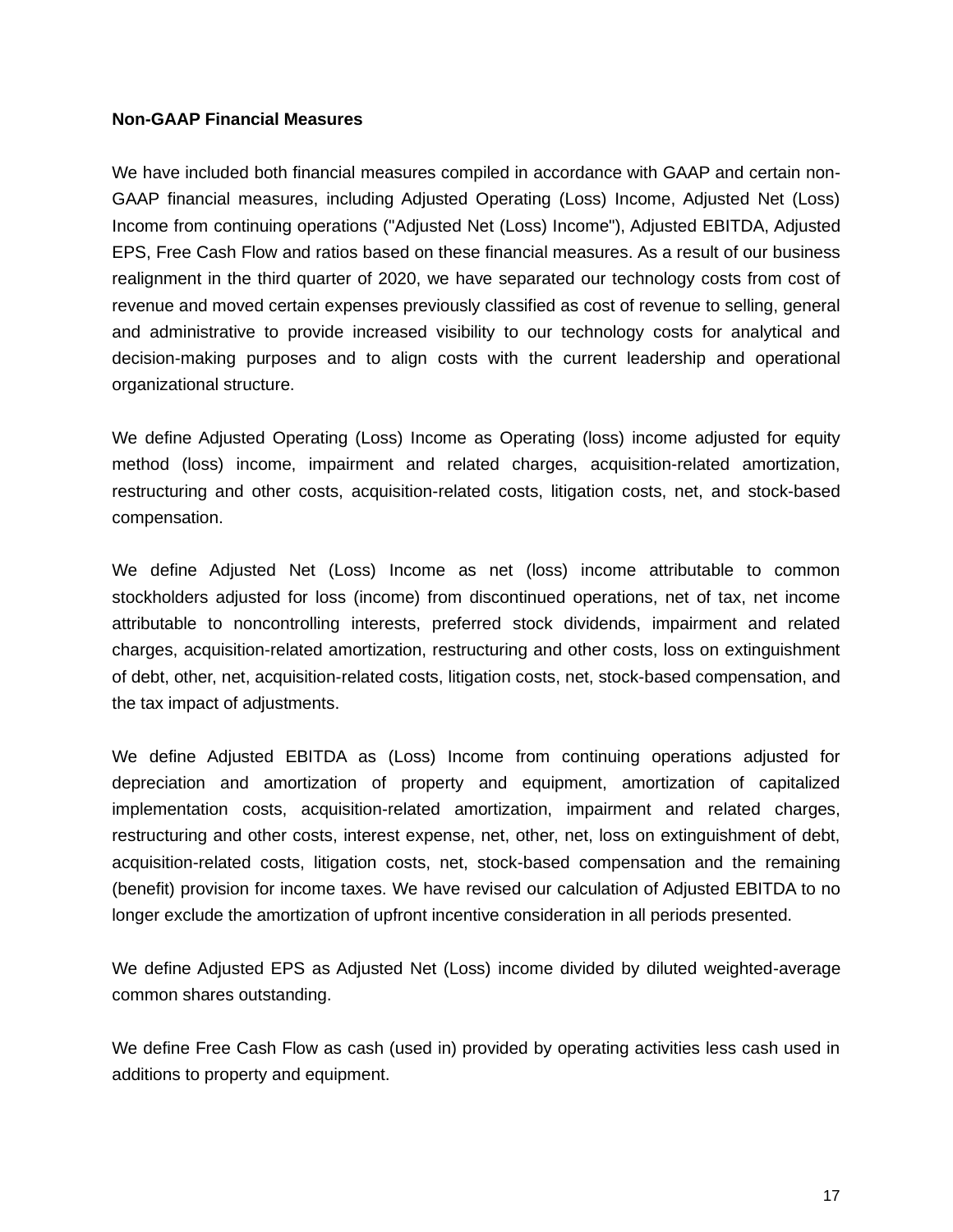#### **Non-GAAP Financial Measures**

We have included both financial measures compiled in accordance with GAAP and certain non-GAAP financial measures, including Adjusted Operating (Loss) Income, Adjusted Net (Loss) Income from continuing operations ("Adjusted Net (Loss) Income"), Adjusted EBITDA, Adjusted EPS, Free Cash Flow and ratios based on these financial measures. As a result of our business realignment in the third quarter of 2020, we have separated our technology costs from cost of revenue and moved certain expenses previously classified as cost of revenue to selling, general and administrative to provide increased visibility to our technology costs for analytical and decision-making purposes and to align costs with the current leadership and operational organizational structure.

We define Adjusted Operating (Loss) Income as Operating (loss) income adjusted for equity method (loss) income, impairment and related charges, acquisition-related amortization, restructuring and other costs, acquisition-related costs, litigation costs, net, and stock-based compensation.

We define Adjusted Net (Loss) Income as net (loss) income attributable to common stockholders adjusted for loss (income) from discontinued operations, net of tax, net income attributable to noncontrolling interests, preferred stock dividends, impairment and related charges, acquisition-related amortization, restructuring and other costs, loss on extinguishment of debt, other, net, acquisition-related costs, litigation costs, net, stock-based compensation, and the tax impact of adjustments.

We define Adjusted EBITDA as (Loss) Income from continuing operations adjusted for depreciation and amortization of property and equipment, amortization of capitalized implementation costs, acquisition-related amortization, impairment and related charges, restructuring and other costs, interest expense, net, other, net, loss on extinguishment of debt, acquisition-related costs, litigation costs, net, stock-based compensation and the remaining (benefit) provision for income taxes. We have revised our calculation of Adjusted EBITDA to no longer exclude the amortization of upfront incentive consideration in all periods presented.

We define Adjusted EPS as Adjusted Net (Loss) income divided by diluted weighted-average common shares outstanding.

We define Free Cash Flow as cash (used in) provided by operating activities less cash used in additions to property and equipment.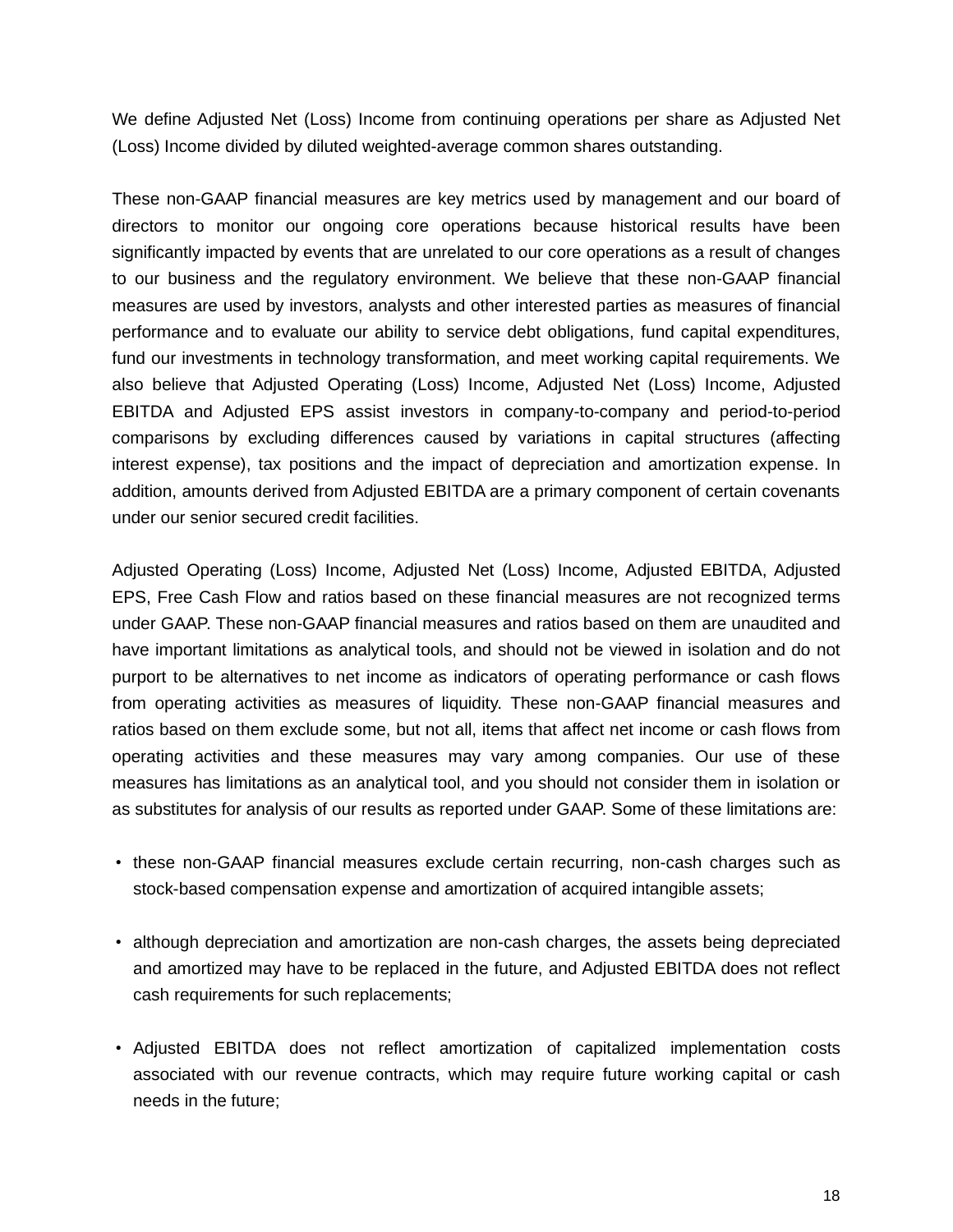We define Adjusted Net (Loss) Income from continuing operations per share as Adjusted Net (Loss) Income divided by diluted weighted-average common shares outstanding.

These non-GAAP financial measures are key metrics used by management and our board of directors to monitor our ongoing core operations because historical results have been significantly impacted by events that are unrelated to our core operations as a result of changes to our business and the regulatory environment. We believe that these non-GAAP financial measures are used by investors, analysts and other interested parties as measures of financial performance and to evaluate our ability to service debt obligations, fund capital expenditures, fund our investments in technology transformation, and meet working capital requirements. We also believe that Adjusted Operating (Loss) Income, Adjusted Net (Loss) Income, Adjusted EBITDA and Adjusted EPS assist investors in company-to-company and period-to-period comparisons by excluding differences caused by variations in capital structures (affecting interest expense), tax positions and the impact of depreciation and amortization expense. In addition, amounts derived from Adjusted EBITDA are a primary component of certain covenants under our senior secured credit facilities.

Adjusted Operating (Loss) Income, Adjusted Net (Loss) Income, Adjusted EBITDA, Adjusted EPS, Free Cash Flow and ratios based on these financial measures are not recognized terms under GAAP. These non-GAAP financial measures and ratios based on them are unaudited and have important limitations as analytical tools, and should not be viewed in isolation and do not purport to be alternatives to net income as indicators of operating performance or cash flows from operating activities as measures of liquidity. These non-GAAP financial measures and ratios based on them exclude some, but not all, items that affect net income or cash flows from operating activities and these measures may vary among companies. Our use of these measures has limitations as an analytical tool, and you should not consider them in isolation or as substitutes for analysis of our results as reported under GAAP. Some of these limitations are:

- these non-GAAP financial measures exclude certain recurring, non-cash charges such as stock-based compensation expense and amortization of acquired intangible assets;
- although depreciation and amortization are non-cash charges, the assets being depreciated and amortized may have to be replaced in the future, and Adjusted EBITDA does not reflect cash requirements for such replacements;
- Adjusted EBITDA does not reflect amortization of capitalized implementation costs associated with our revenue contracts, which may require future working capital or cash needs in the future;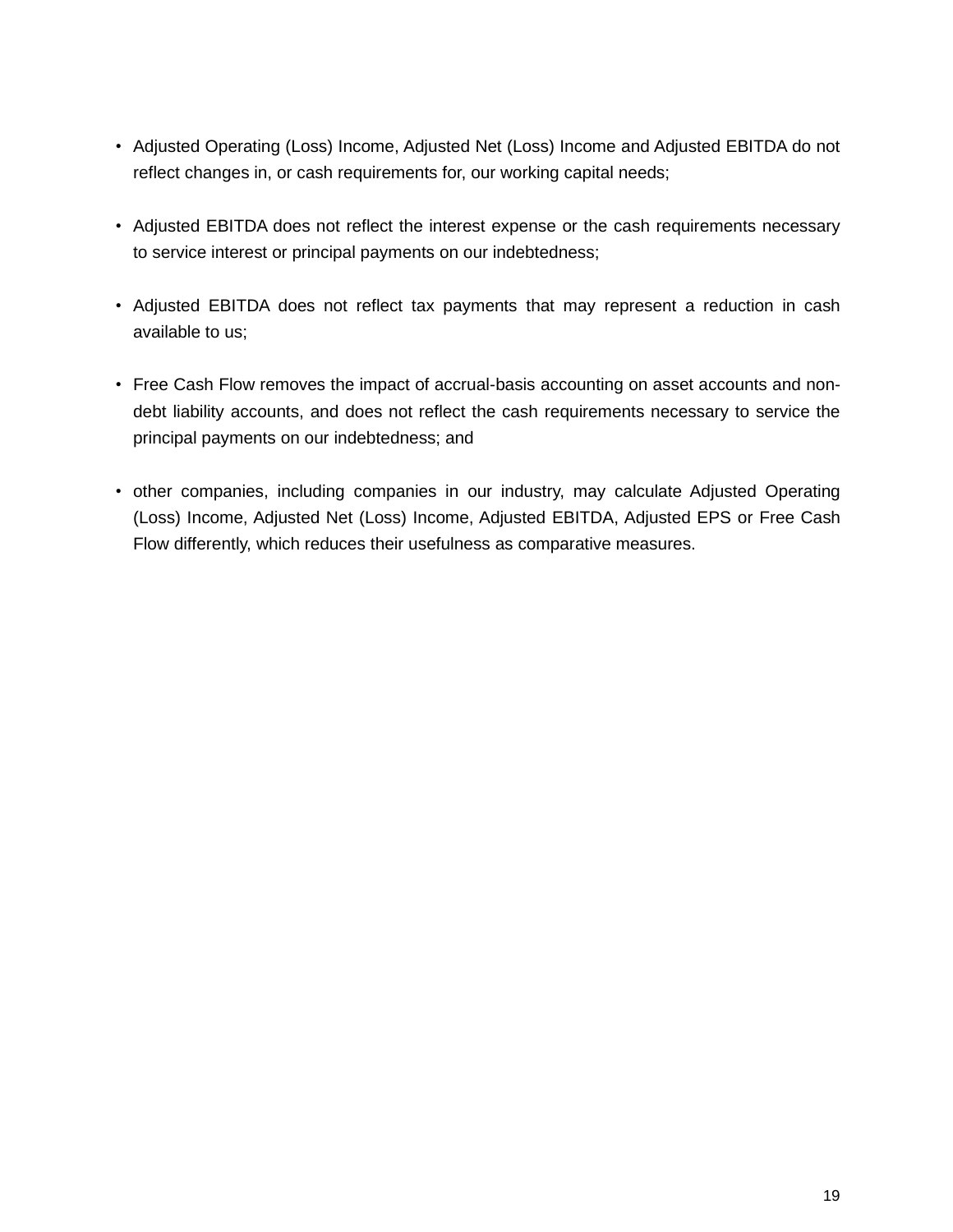- Adjusted Operating (Loss) Income, Adjusted Net (Loss) Income and Adjusted EBITDA do not reflect changes in, or cash requirements for, our working capital needs;
- Adjusted EBITDA does not reflect the interest expense or the cash requirements necessary to service interest or principal payments on our indebtedness;
- Adjusted EBITDA does not reflect tax payments that may represent a reduction in cash available to us;
- Free Cash Flow removes the impact of accrual-basis accounting on asset accounts and nondebt liability accounts, and does not reflect the cash requirements necessary to service the principal payments on our indebtedness; and
- other companies, including companies in our industry, may calculate Adjusted Operating (Loss) Income, Adjusted Net (Loss) Income, Adjusted EBITDA, Adjusted EPS or Free Cash Flow differently, which reduces their usefulness as comparative measures.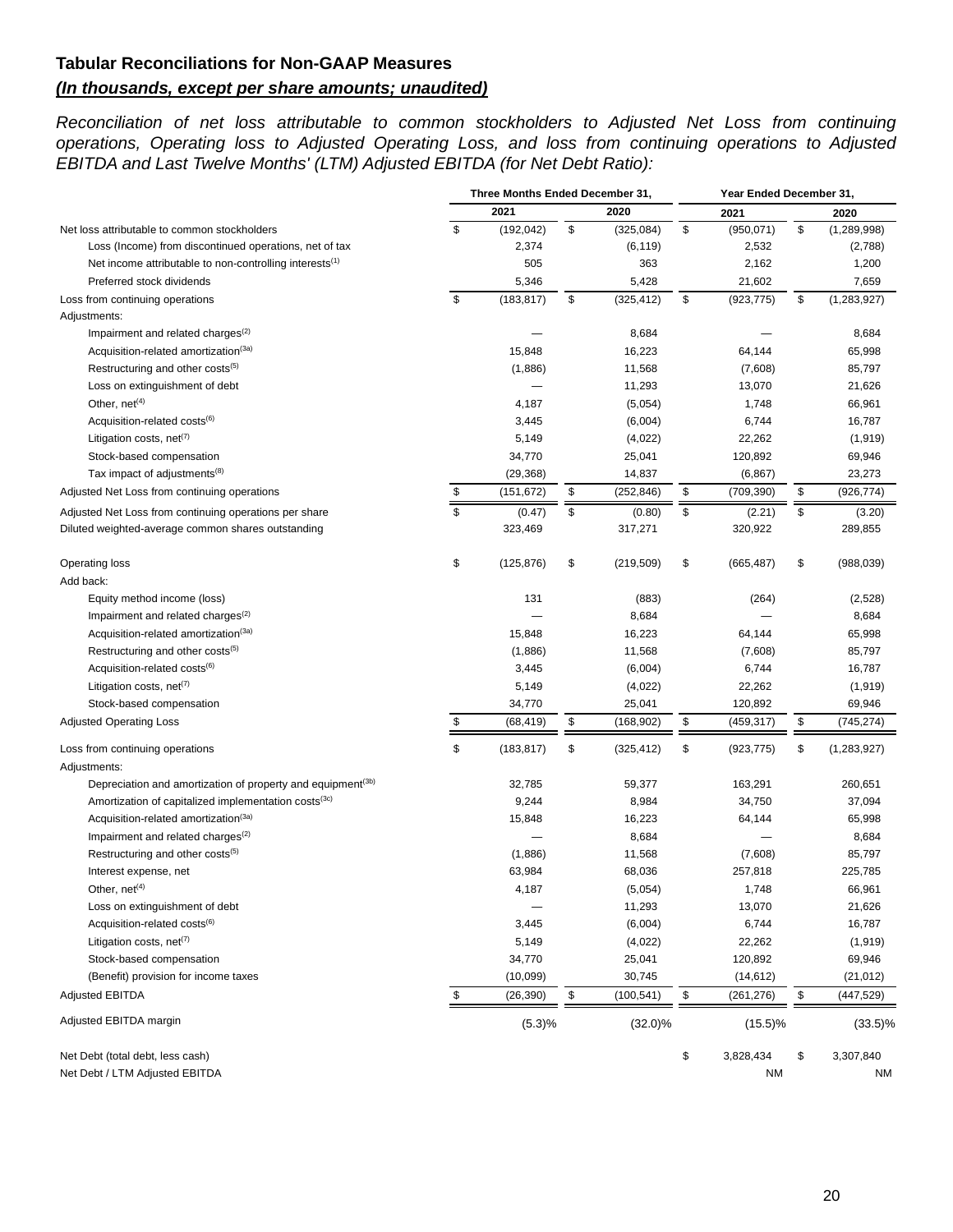# **Tabular Reconciliations for Non-GAAP Measures** *(In thousands, except per share amounts; unaudited)*

*Reconciliation of net loss attributable to common stockholders to Adjusted Net Loss from continuing operations, Operating loss to Adjusted Operating Loss, and loss from continuing operations to Adjusted EBITDA and Last Twelve Months' (LTM) Adjusted EBITDA (for Net Debt Ratio):*

|                                                                         | Three Months Ended December 31, |            |    |            | Year Ended December 31, |            |    |               |
|-------------------------------------------------------------------------|---------------------------------|------------|----|------------|-------------------------|------------|----|---------------|
|                                                                         |                                 | 2021       |    | 2020       |                         | 2021       |    | 2020          |
| Net loss attributable to common stockholders                            | $$\mathbb{S}$$                  | (192, 042) | \$ | (325,084)  | \$                      | (950, 071) | \$ | (1,289,998)   |
| Loss (Income) from discontinued operations, net of tax                  |                                 | 2,374      |    | (6, 119)   |                         | 2,532      |    | (2,788)       |
| Net income attributable to non-controlling interests <sup>(1)</sup>     |                                 | 505        |    | 363        |                         | 2,162      |    | 1,200         |
| Preferred stock dividends                                               |                                 | 5,346      |    | 5,428      |                         | 21,602     |    | 7,659         |
| Loss from continuing operations                                         | \$                              | (183, 817) | \$ | (325, 412) | \$                      | (923, 775) | \$ | (1, 283, 927) |
| Adjustments:                                                            |                                 |            |    |            |                         |            |    |               |
| Impairment and related charges <sup>(2)</sup>                           |                                 |            |    | 8,684      |                         |            |    | 8,684         |
| Acquisition-related amortization <sup>(3a)</sup>                        |                                 | 15,848     |    | 16,223     |                         | 64,144     |    | 65,998        |
| Restructuring and other costs(5)                                        |                                 | (1,886)    |    | 11,568     |                         | (7,608)    |    | 85,797        |
| Loss on extinguishment of debt                                          |                                 |            |    | 11,293     |                         | 13,070     |    | 21,626        |
| Other, $net(4)$                                                         |                                 | 4,187      |    | (5,054)    |                         | 1,748      |    | 66,961        |
| Acquisition-related costs <sup>(6)</sup>                                |                                 | 3,445      |    | (6,004)    |                         | 6,744      |    | 16,787        |
| Litigation costs, net <sup>(7)</sup>                                    |                                 | 5,149      |    | (4,022)    |                         | 22,262     |    | (1, 919)      |
| Stock-based compensation                                                |                                 | 34,770     |    | 25,041     |                         | 120,892    |    | 69,946        |
| Tax impact of adjustments <sup>(8)</sup>                                |                                 | (29, 368)  |    | 14,837     |                         | (6, 867)   |    | 23,273        |
| Adjusted Net Loss from continuing operations                            | \$                              | (151, 672) | \$ | (252, 846) | \$                      | (709, 390) | \$ | (926, 774)    |
| Adjusted Net Loss from continuing operations per share                  | \$                              | (0.47)     | \$ | (0.80)     | \$                      | (2.21)     | \$ | (3.20)        |
| Diluted weighted-average common shares outstanding                      |                                 | 323,469    |    | 317,271    |                         | 320,922    |    | 289,855       |
| Operating loss                                                          | \$                              | (125, 876) | \$ | (219, 509) | \$                      | (665, 487) | \$ | (988, 039)    |
| Add back:                                                               |                                 |            |    |            |                         |            |    |               |
| Equity method income (loss)                                             |                                 | 131        |    | (883)      |                         | (264)      |    | (2,528)       |
| Impairment and related charges <sup>(2)</sup>                           |                                 |            |    | 8,684      |                         |            |    | 8,684         |
| Acquisition-related amortization <sup>(3a)</sup>                        |                                 | 15,848     |    | 16,223     |                         | 64,144     |    | 65,998        |
| Restructuring and other costs <sup>(5)</sup>                            |                                 | (1,886)    |    | 11,568     |                         | (7,608)    |    | 85,797        |
| Acquisition-related costs <sup>(6)</sup>                                |                                 | 3,445      |    | (6,004)    |                         | 6,744      |    | 16,787        |
| Litigation costs, net <sup>(7)</sup>                                    |                                 | 5,149      |    | (4,022)    |                         | 22,262     |    | (1, 919)      |
| Stock-based compensation                                                |                                 | 34,770     |    | 25,041     |                         | 120,892    |    | 69,946        |
| <b>Adjusted Operating Loss</b>                                          | \$                              | (68, 419)  | \$ | (168, 902) | \$                      | (459,317)  | \$ | (745, 274)    |
| Loss from continuing operations                                         | \$                              | (183, 817) | \$ | (325, 412) | \$                      | (923, 775) | \$ | (1, 283, 927) |
| Adjustments:                                                            |                                 |            |    |            |                         |            |    |               |
| Depreciation and amortization of property and equipment <sup>(3b)</sup> |                                 | 32,785     |    | 59,377     |                         | 163,291    |    | 260,651       |
| Amortization of capitalized implementation costs <sup>(3c)</sup>        |                                 | 9,244      |    | 8,984      |                         | 34,750     |    | 37,094        |
| Acquisition-related amortization <sup>(3a)</sup>                        |                                 | 15,848     |    | 16,223     |                         | 64,144     |    | 65,998        |
| Impairment and related charges <sup>(2)</sup>                           |                                 |            |    | 8,684      |                         |            |    | 8,684         |
| Restructuring and other costs <sup>(5)</sup>                            |                                 | (1,886)    |    | 11,568     |                         | (7,608)    |    | 85,797        |
| Interest expense, net                                                   |                                 | 63,984     |    | 68,036     |                         | 257,818    |    | 225,785       |
| Other, $net(4)$                                                         |                                 | 4,187      |    | (5,054)    |                         | 1,748      |    | 66,961        |
| Loss on extinguishment of debt                                          |                                 |            |    | 11,293     |                         | 13,070     |    | 21,626        |
| Acquisition-related costs <sup>(6)</sup>                                |                                 | 3,445      |    | (6,004)    |                         | 6,744      |    | 16,787        |
| Litigation costs, net <sup>(7)</sup>                                    |                                 | 5,149      |    | (4,022)    |                         | 22,262     |    | (1, 919)      |
| Stock-based compensation                                                |                                 | 34,770     |    | 25,041     |                         | 120,892    |    | 69,946        |
| (Benefit) provision for income taxes                                    |                                 | (10,099)   |    | 30,745     |                         | (14, 612)  |    | (21, 012)     |
| <b>Adjusted EBITDA</b>                                                  | \$                              | (26, 390)  | \$ | (100, 541) | \$                      | (261, 276) | \$ | (447, 529)    |
| Adjusted EBITDA margin                                                  |                                 | (5.3)%     |    | $(32.0)\%$ |                         | $(15.5)\%$ |    | $(33.5)\%$    |
| Net Debt (total debt, less cash)                                        |                                 |            |    |            | \$                      | 3,828,434  | \$ | 3,307,840     |
| Net Debt / LTM Adjusted EBITDA                                          |                                 |            |    |            |                         | NM         |    | NM            |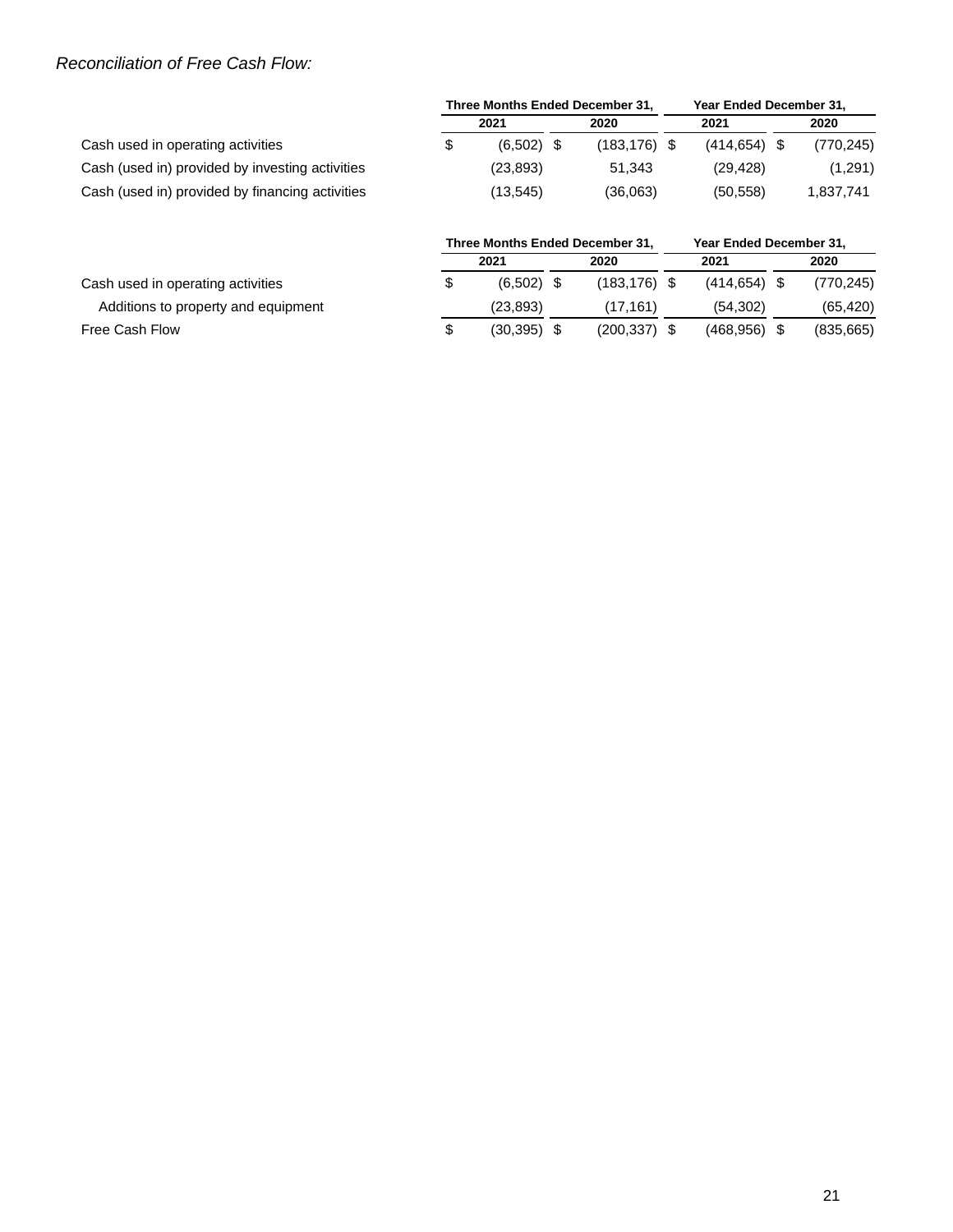# *Reconciliation of Free Cash Flow:*

|                                                 | Three Months Ended December 31, |              |  |                 |  | Year Ended December 31, |      |            |  |
|-------------------------------------------------|---------------------------------|--------------|--|-----------------|--|-------------------------|------|------------|--|
|                                                 | 2021                            |              |  | 2020            |  | 2021                    | 2020 |            |  |
| Cash used in operating activities               |                                 | $(6,502)$ \$ |  | $(183, 176)$ \$ |  | $(414.654)$ \$          |      | (770, 245) |  |
| Cash (used in) provided by investing activities |                                 | (23, 893)    |  | 51.343          |  | (29.428)                |      | (1,291)    |  |
| Cash (used in) provided by financing activities |                                 | (13,545)     |  | (36,063)        |  | (50.558)                |      | 1,837,741  |  |

|                                     | Three Months Ended December 31. |               |  |                 |  | Year Ended December 31. |      |            |  |  |
|-------------------------------------|---------------------------------|---------------|--|-----------------|--|-------------------------|------|------------|--|--|
|                                     | 2021                            |               |  | 2020            |  | 2021                    | 2020 |            |  |  |
| Cash used in operating activities   |                                 | $(6.502)$ \$  |  | $(183, 176)$ \$ |  | $(414.654)$ \$          |      | (770, 245) |  |  |
| Additions to property and equipment |                                 | (23, 893)     |  | (17.161)        |  | (54.302)                |      | (65, 420)  |  |  |
| Free Cash Flow                      |                                 | $(30.395)$ \$ |  | $(200, 337)$ \$ |  | (468.956)               |      | (835, 665) |  |  |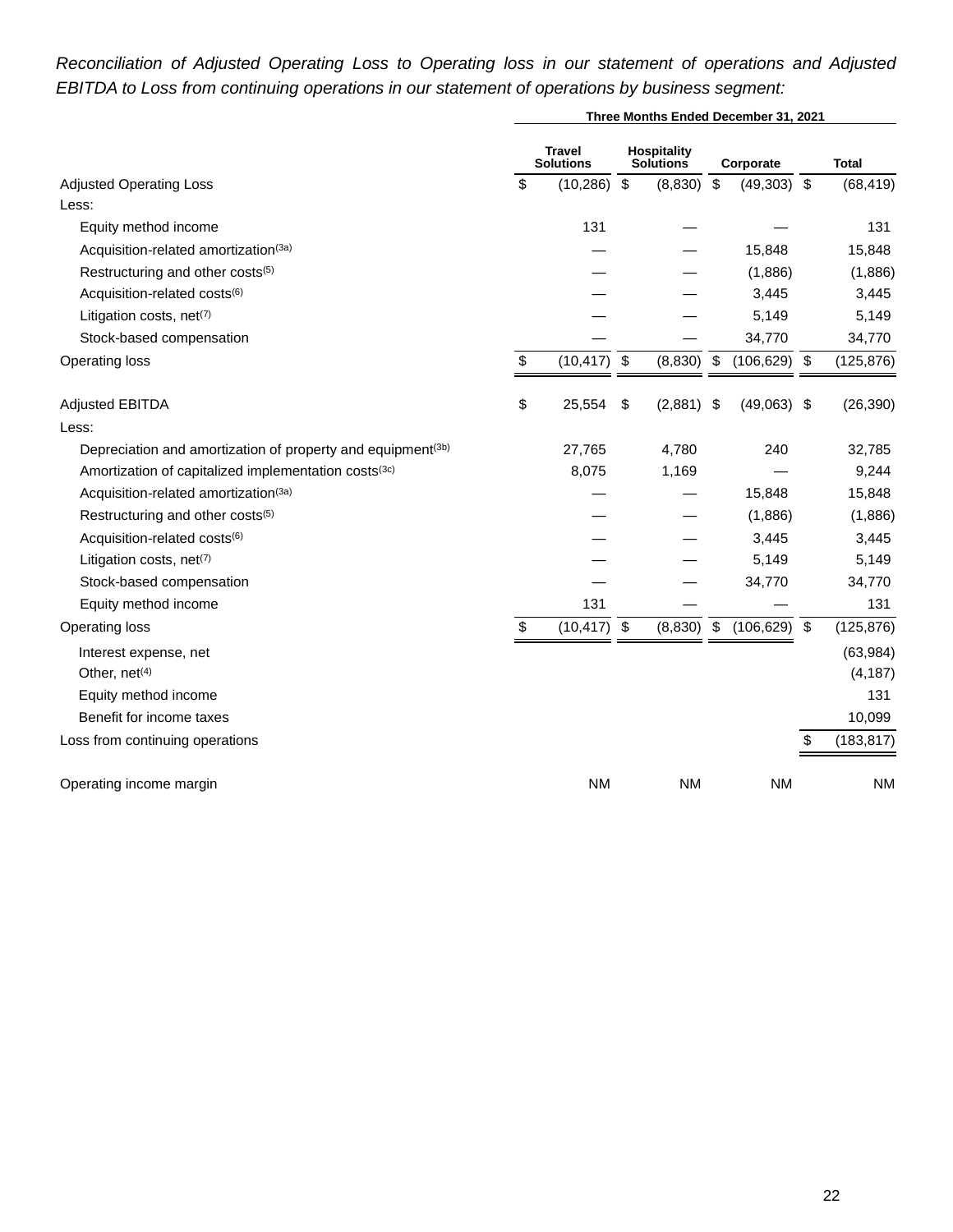# *Reconciliation of Adjusted Operating Loss to Operating loss in our statement of operations and Adjusted EBITDA to Loss from continuing operations in our statement of operations by business segment:*

|                                                                         | Three Months Ended December 31, 2021 |                                   |                         |                                 |                         |                 |                |              |  |  |  |
|-------------------------------------------------------------------------|--------------------------------------|-----------------------------------|-------------------------|---------------------------------|-------------------------|-----------------|----------------|--------------|--|--|--|
|                                                                         |                                      | <b>Travel</b><br><b>Solutions</b> |                         | <b>Hospitality</b><br>Solutions |                         | Corporate       |                | <b>Total</b> |  |  |  |
| <b>Adjusted Operating Loss</b>                                          | \$                                   | (10, 286)                         | $\sqrt[6]{\frac{1}{2}}$ | (8,830)                         | $\sqrt[6]{3}$           | $(49,303)$ \$   |                | (68, 419)    |  |  |  |
| Less:                                                                   |                                      |                                   |                         |                                 |                         |                 |                |              |  |  |  |
| Equity method income                                                    |                                      | 131                               |                         |                                 |                         |                 |                | 131          |  |  |  |
| Acquisition-related amortization(3a)                                    |                                      |                                   |                         |                                 |                         | 15,848          |                | 15,848       |  |  |  |
| Restructuring and other costs(5)                                        |                                      |                                   |                         |                                 |                         | (1,886)         |                | (1,886)      |  |  |  |
| Acquisition-related costs(6)                                            |                                      |                                   |                         |                                 |                         | 3,445           |                | 3,445        |  |  |  |
| Litigation costs, net(7)                                                |                                      |                                   |                         |                                 |                         | 5,149           |                | 5,149        |  |  |  |
| Stock-based compensation                                                |                                      |                                   |                         |                                 |                         | 34,770          |                | 34,770       |  |  |  |
| Operating loss                                                          | \$                                   | (10, 417)                         | \$                      | (8,830)                         | \$                      | $(106, 629)$ \$ |                | (125, 876)   |  |  |  |
| <b>Adjusted EBITDA</b>                                                  | \$                                   | 25,554                            | \$                      | (2,881)                         | -\$                     | (49,063)        | -\$            | (26, 390)    |  |  |  |
| Less:                                                                   |                                      |                                   |                         |                                 |                         |                 |                |              |  |  |  |
| Depreciation and amortization of property and equipment <sup>(3b)</sup> |                                      | 27,765                            |                         | 4,780                           |                         | 240             |                | 32,785       |  |  |  |
| Amortization of capitalized implementation costs(3c)                    |                                      | 8,075                             |                         | 1,169                           |                         |                 |                | 9,244        |  |  |  |
| Acquisition-related amortization(3a)                                    |                                      |                                   |                         |                                 |                         | 15,848          |                | 15,848       |  |  |  |
| Restructuring and other costs(5)                                        |                                      |                                   |                         |                                 |                         | (1,886)         |                | (1,886)      |  |  |  |
| Acquisition-related costs(6)                                            |                                      |                                   |                         |                                 |                         | 3,445           |                | 3,445        |  |  |  |
| Litigation costs, net(7)                                                |                                      |                                   |                         |                                 |                         | 5,149           |                | 5,149        |  |  |  |
| Stock-based compensation                                                |                                      |                                   |                         |                                 |                         | 34,770          |                | 34,770       |  |  |  |
| Equity method income                                                    |                                      | 131                               |                         |                                 |                         |                 |                | 131          |  |  |  |
| Operating loss                                                          | \$                                   | (10, 417)                         | \$                      | (8,830)                         | $\sqrt[6]{\frac{1}{2}}$ | (106, 629)      | $\mathfrak{S}$ | (125, 876)   |  |  |  |
| Interest expense, net                                                   |                                      |                                   |                         |                                 |                         |                 |                | (63, 984)    |  |  |  |
| Other, net <sup>(4)</sup>                                               |                                      |                                   |                         |                                 |                         |                 |                | (4, 187)     |  |  |  |
| Equity method income                                                    |                                      |                                   |                         |                                 |                         |                 |                | 131          |  |  |  |
| Benefit for income taxes                                                |                                      |                                   |                         |                                 |                         |                 |                | 10,099       |  |  |  |
| Loss from continuing operations                                         |                                      |                                   |                         |                                 |                         |                 | \$             | (183, 817)   |  |  |  |
| Operating income margin                                                 |                                      | <b>NM</b>                         |                         | <b>NM</b>                       |                         | <b>NM</b>       |                | <b>NM</b>    |  |  |  |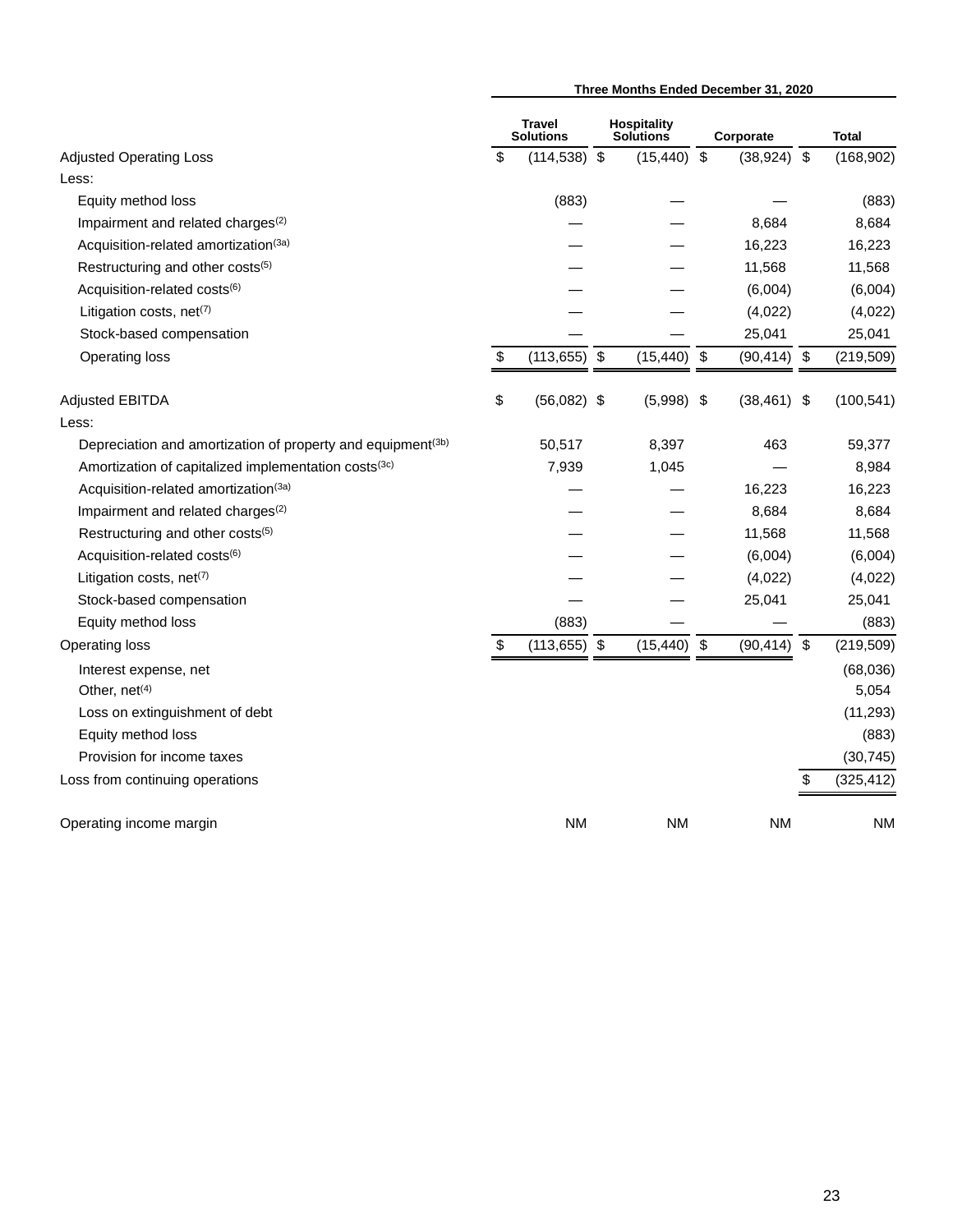|                                                             |                                   |                                        |                         | Three Months Ended December 31, 2020 |                  |
|-------------------------------------------------------------|-----------------------------------|----------------------------------------|-------------------------|--------------------------------------|------------------|
|                                                             | <b>Travel</b><br><b>Solutions</b> | <b>Hospitality</b><br><b>Solutions</b> |                         | Corporate                            | <b>Total</b>     |
| <b>Adjusted Operating Loss</b>                              | \$<br>$(114, 538)$ \$             | (15, 440)                              | $\sqrt[6]{\frac{1}{2}}$ | $(38,924)$ \$                        | (168, 902)       |
| Less:                                                       |                                   |                                        |                         |                                      |                  |
| Equity method loss                                          | (883)                             |                                        |                         |                                      | (883)            |
| Impairment and related charges <sup>(2)</sup>               |                                   |                                        |                         | 8,684                                | 8,684            |
| Acquisition-related amortization(3a)                        |                                   |                                        |                         | 16,223                               | 16,223           |
| Restructuring and other costs(5)                            |                                   |                                        |                         | 11,568                               | 11,568           |
| Acquisition-related costs(6)                                |                                   |                                        |                         | (6,004)                              | (6,004)          |
| Litigation costs, net(7)                                    |                                   |                                        |                         | (4,022)                              | (4,022)          |
| Stock-based compensation                                    |                                   |                                        |                         | 25,041                               | 25,041           |
| Operating loss                                              | \$<br>$(113, 655)$ \$             | (15, 440)                              | $\sqrt[3]{2}$           | $(90, 414)$ \$                       | (219, 509)       |
| Adjusted EBITDA                                             | \$<br>$(56,082)$ \$               | (5,998)                                | -\$                     | $(38, 461)$ \$                       | (100, 541)       |
| Less:                                                       |                                   |                                        |                         |                                      |                  |
| Depreciation and amortization of property and equipment(3b) | 50,517                            | 8,397                                  |                         | 463                                  | 59,377           |
| Amortization of capitalized implementation costs(3c)        | 7,939                             | 1,045                                  |                         |                                      | 8,984            |
| Acquisition-related amortization(3a)                        |                                   |                                        |                         | 16,223                               | 16,223           |
| Impairment and related charges <sup>(2)</sup>               |                                   |                                        |                         | 8,684                                | 8,684            |
| Restructuring and other costs(5)                            |                                   |                                        |                         | 11,568                               | 11,568           |
| Acquisition-related costs(6)                                |                                   |                                        |                         | (6,004)                              | (6,004)          |
| Litigation costs, net <sup>(7)</sup>                        |                                   |                                        |                         | (4,022)                              | (4,022)          |
| Stock-based compensation                                    |                                   |                                        |                         | 25,041                               | 25,041           |
| Equity method loss                                          | (883)                             |                                        |                         |                                      | (883)            |
| <b>Operating loss</b>                                       | \$<br>$(113, 655)$ \$             | (15, 440)                              | \$                      | (90, 414)                            | \$<br>(219, 509) |
| Interest expense, net                                       |                                   |                                        |                         |                                      | (68,036)         |
| Other, net <sup>(4)</sup>                                   |                                   |                                        |                         |                                      | 5,054            |
| Loss on extinguishment of debt                              |                                   |                                        |                         |                                      | (11, 293)        |
| Equity method loss                                          |                                   |                                        |                         |                                      | (883)            |
| Provision for income taxes                                  |                                   |                                        |                         |                                      | (30, 745)        |
| Loss from continuing operations                             |                                   |                                        |                         |                                      | \$<br>(325, 412) |
| Operating income margin                                     | <b>NM</b>                         | ΝM                                     |                         | <b>NM</b>                            | ΝM               |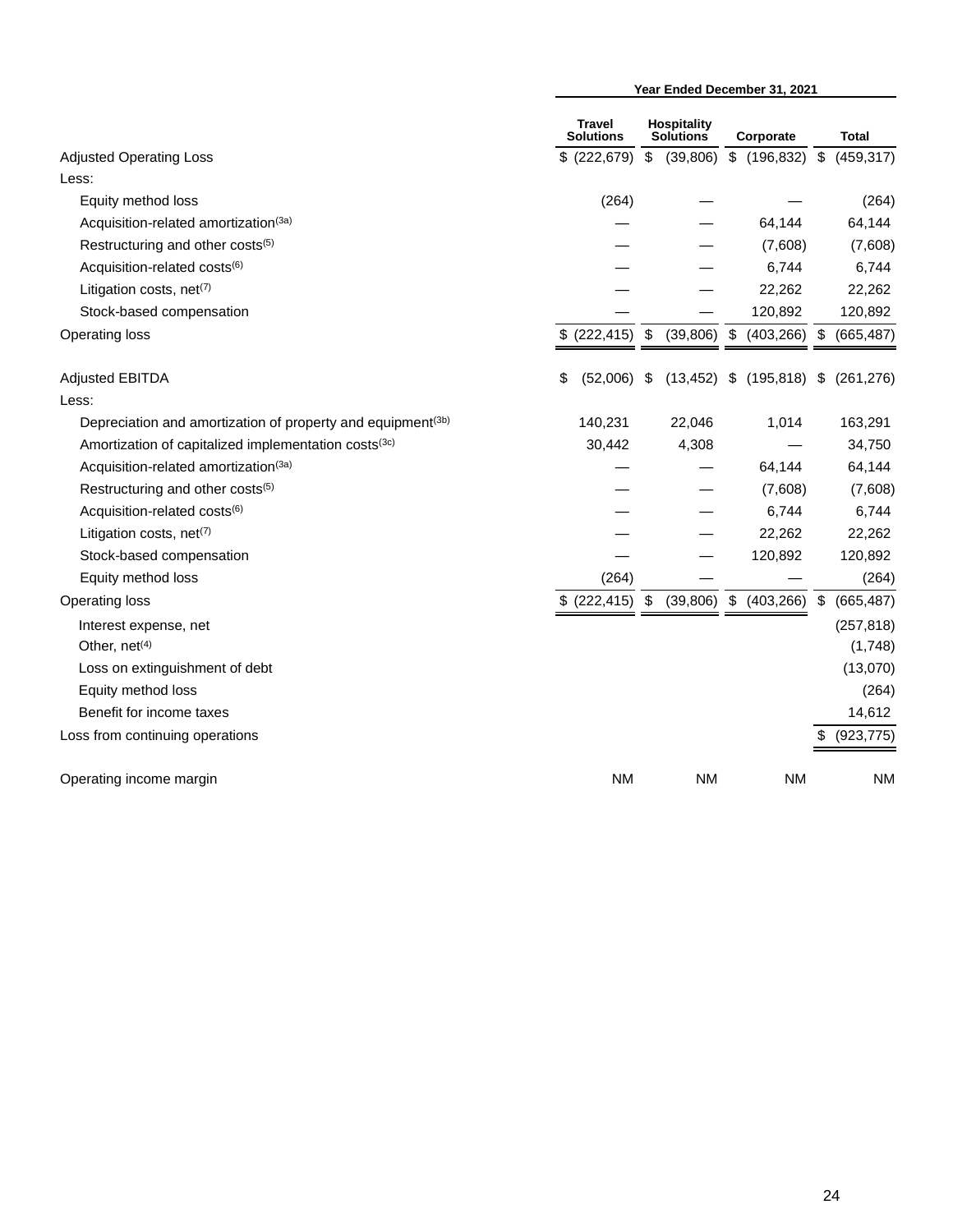|                                                             |                            |               |                                 |       | Year Ended December 31, 2021 |                  |
|-------------------------------------------------------------|----------------------------|---------------|---------------------------------|-------|------------------------------|------------------|
|                                                             | Travel<br><b>Solutions</b> |               | Hospitality<br><b>Solutions</b> |       | Corporate                    | <b>Total</b>     |
| <b>Adjusted Operating Loss</b>                              | \$ (222, 679)              | $\sqrt[6]{3}$ | (39, 806)                       | \$    | (196, 832)                   | \$<br>(459, 317) |
| Less:                                                       |                            |               |                                 |       |                              |                  |
| Equity method loss                                          | (264)                      |               |                                 |       |                              | (264)            |
| Acquisition-related amortization <sup>(3a)</sup>            |                            |               |                                 |       | 64,144                       | 64,144           |
| Restructuring and other costs(5)                            |                            |               |                                 |       | (7,608)                      | (7,608)          |
| Acquisition-related costs(6)                                |                            |               |                                 |       | 6,744                        | 6,744            |
| Litigation costs, net(7)                                    |                            |               |                                 |       | 22,262                       | 22,262           |
| Stock-based compensation                                    |                            |               |                                 |       | 120,892                      | 120,892          |
| Operating loss                                              | \$ (222, 415)              | \$            | (39, 806)                       | $\$\$ | $(403, 266)$ \$              | (665, 487)       |
| <b>Adjusted EBITDA</b>                                      | \$<br>(52,006)             | \$            | (13, 452)                       | \$    | (195, 818)                   | \$<br>(261, 276) |
| Less:                                                       |                            |               |                                 |       |                              |                  |
| Depreciation and amortization of property and equipment(3b) | 140,231                    |               | 22,046                          |       | 1,014                        | 163,291          |
| Amortization of capitalized implementation costs(3c)        | 30,442                     |               | 4,308                           |       |                              | 34,750           |
| Acquisition-related amortization(3a)                        |                            |               |                                 |       | 64,144                       | 64,144           |
| Restructuring and other costs(5)                            |                            |               |                                 |       | (7,608)                      | (7,608)          |
| Acquisition-related costs(6)                                |                            |               |                                 |       | 6,744                        | 6,744            |
| Litigation costs, net <sup>(7)</sup>                        |                            |               |                                 |       | 22,262                       | 22,262           |
| Stock-based compensation                                    |                            |               |                                 |       | 120,892                      | 120,892          |
| Equity method loss                                          | (264)                      |               |                                 |       |                              | (264)            |
| Operating loss                                              | \$ (222, 415)              | \$            | (39, 806)                       | \$    | (403, 266)                   | \$<br>(665, 487) |
| Interest expense, net                                       |                            |               |                                 |       |                              | (257, 818)       |
| Other, net <sup>(4)</sup>                                   |                            |               |                                 |       |                              | (1,748)          |
| Loss on extinguishment of debt                              |                            |               |                                 |       |                              | (13,070)         |
| Equity method loss                                          |                            |               |                                 |       |                              | (264)            |
| Benefit for income taxes                                    |                            |               |                                 |       |                              | 14,612           |
| Loss from continuing operations                             |                            |               |                                 |       |                              | \$<br>(923, 775) |
| Operating income margin                                     | <b>NM</b>                  |               | <b>NM</b>                       |       | <b>NM</b>                    | <b>NM</b>        |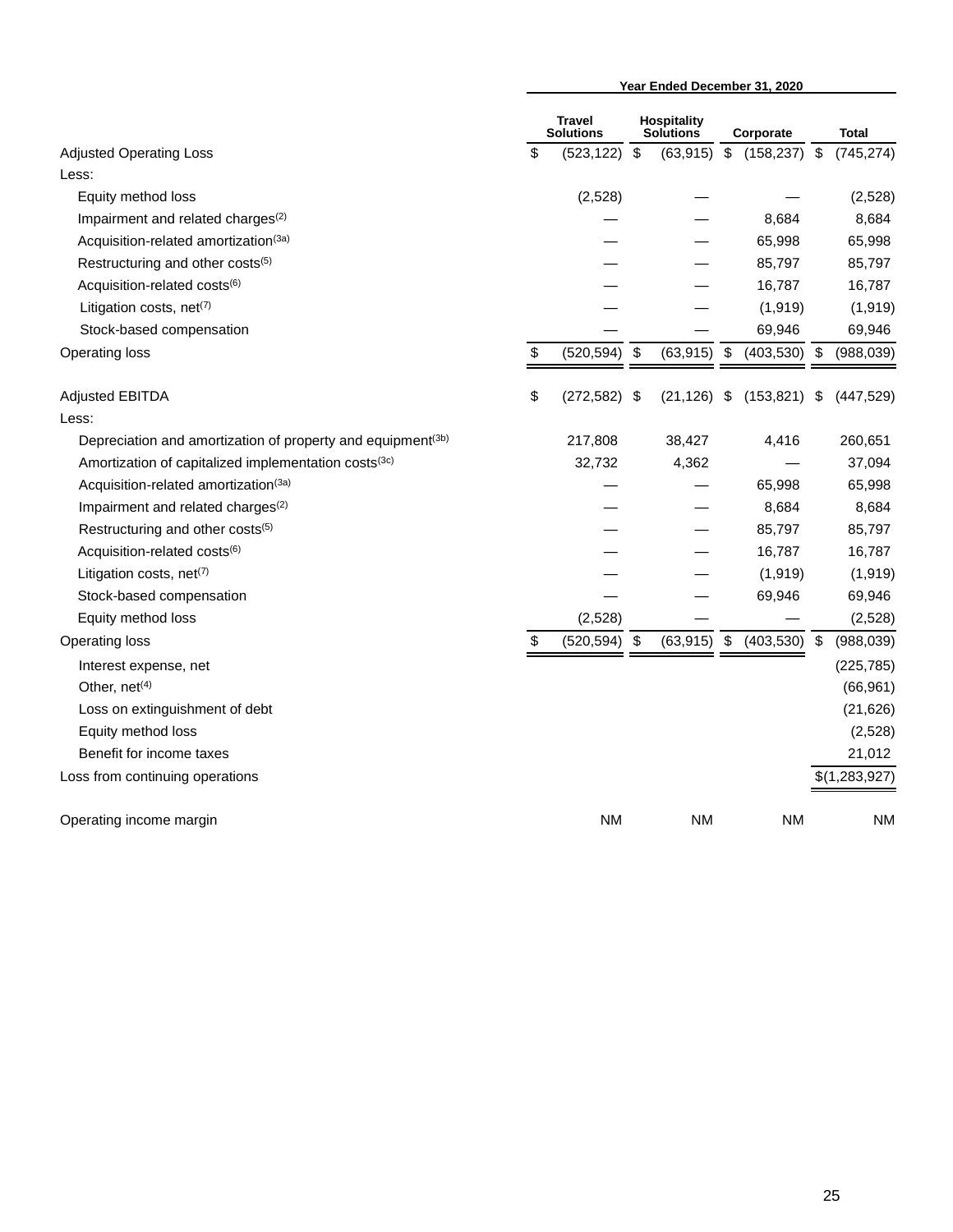|                                                                         | Year Ended December 31, 2020 |                                   |                           |                                        |                         |            |                         |               |
|-------------------------------------------------------------------------|------------------------------|-----------------------------------|---------------------------|----------------------------------------|-------------------------|------------|-------------------------|---------------|
|                                                                         |                              | <b>Travel</b><br><b>Solutions</b> |                           | <b>Hospitality</b><br><b>Solutions</b> |                         | Corporate  |                         | <b>Total</b>  |
| <b>Adjusted Operating Loss</b>                                          | \$                           | (523, 122)                        | $\sqrt[6]{\frac{1}{2}}$   | (63, 915)                              | $\sqrt[6]{\frac{1}{2}}$ | (158, 237) | $\sqrt[6]{\frac{1}{2}}$ | (745, 274)    |
| Less:                                                                   |                              |                                   |                           |                                        |                         |            |                         |               |
| Equity method loss                                                      |                              | (2,528)                           |                           |                                        |                         |            |                         | (2,528)       |
| Impairment and related charges <sup>(2)</sup>                           |                              |                                   |                           |                                        |                         | 8,684      |                         | 8,684         |
| Acquisition-related amortization <sup>(3a)</sup>                        |                              |                                   |                           |                                        |                         | 65,998     |                         | 65,998        |
| Restructuring and other costs(5)                                        |                              |                                   |                           |                                        |                         | 85,797     |                         | 85,797        |
| Acquisition-related costs(6)                                            |                              |                                   |                           |                                        |                         | 16,787     |                         | 16,787        |
| Litigation costs, net <sup>(7)</sup>                                    |                              |                                   |                           |                                        |                         | (1, 919)   |                         | (1, 919)      |
| Stock-based compensation                                                |                              |                                   |                           |                                        |                         | 69,946     |                         | 69,946        |
| Operating loss                                                          | \$                           | (520, 594)                        | $\boldsymbol{\mathsf{S}}$ | (63, 915)                              | \$                      | (403, 530) | \$                      | (988, 039)    |
| <b>Adjusted EBITDA</b>                                                  | \$                           | (272, 582)                        | - \$                      | (21, 126)                              | \$                      | (153, 821) | \$                      | (447, 529)    |
| Less:                                                                   |                              |                                   |                           |                                        |                         |            |                         |               |
| Depreciation and amortization of property and equipment <sup>(3b)</sup> |                              | 217,808                           |                           | 38,427                                 |                         | 4,416      |                         | 260,651       |
| Amortization of capitalized implementation costs <sup>(3c)</sup>        |                              | 32,732                            |                           | 4,362                                  |                         |            |                         | 37,094        |
| Acquisition-related amortization(3a)                                    |                              |                                   |                           |                                        |                         | 65,998     |                         | 65,998        |
| Impairment and related charges <sup>(2)</sup>                           |                              |                                   |                           |                                        |                         | 8,684      |                         | 8,684         |
| Restructuring and other costs(5)                                        |                              |                                   |                           |                                        |                         | 85,797     |                         | 85,797        |
| Acquisition-related costs(6)                                            |                              |                                   |                           |                                        |                         | 16,787     |                         | 16,787        |
| Litigation costs, net <sup>(7)</sup>                                    |                              |                                   |                           |                                        |                         | (1, 919)   |                         | (1, 919)      |
| Stock-based compensation                                                |                              |                                   |                           |                                        |                         | 69,946     |                         | 69,946        |
| Equity method loss                                                      |                              | (2,528)                           |                           |                                        |                         |            |                         | (2,528)       |
| Operating loss                                                          | \$                           | $(520, 594)$ \$                   |                           | (63, 915)                              | \$                      | (403, 530) | \$                      | (988, 039)    |
| Interest expense, net                                                   |                              |                                   |                           |                                        |                         |            |                         | (225, 785)    |
| Other, net <sup>(4)</sup>                                               |                              |                                   |                           |                                        |                         |            |                         | (66, 961)     |
| Loss on extinguishment of debt                                          |                              |                                   |                           |                                        |                         |            |                         | (21, 626)     |
| Equity method loss                                                      |                              |                                   |                           |                                        |                         |            |                         | (2,528)       |
| Benefit for income taxes                                                |                              |                                   |                           |                                        |                         |            |                         | 21,012        |
| Loss from continuing operations                                         |                              |                                   |                           |                                        |                         |            |                         | \$(1,283,927) |
| Operating income margin                                                 |                              | <b>NM</b>                         |                           | <b>NM</b>                              |                         | <b>NM</b>  |                         | <b>NM</b>     |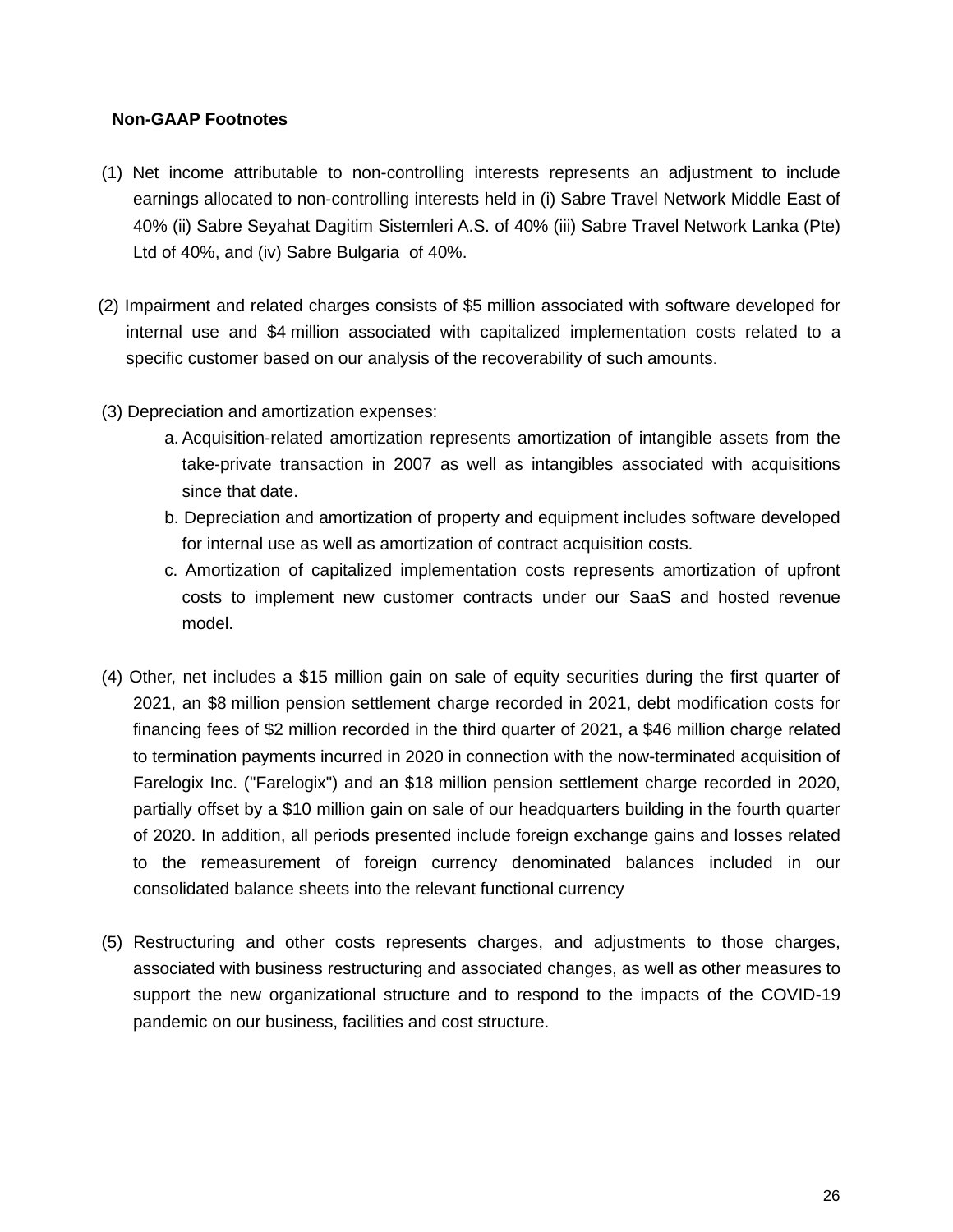#### **Non-GAAP Footnotes**

- (1) Net income attributable to non-controlling interests represents an adjustment to include earnings allocated to non-controlling interests held in (i) Sabre Travel Network Middle East of 40% (ii) Sabre Seyahat Dagitim Sistemleri A.S. of 40% (iii) Sabre Travel Network Lanka (Pte) Ltd of 40%, and (iv) Sabre Bulgaria of 40%.
- (2) Impairment and related charges consists of \$5 million associated with software developed for internal use and \$4 million associated with capitalized implementation costs related to a specific customer based on our analysis of the recoverability of such amounts.
- (3) Depreciation and amortization expenses:
	- a. Acquisition-related amortization represents amortization of intangible assets from the take-private transaction in 2007 as well as intangibles associated with acquisitions since that date.
	- b. Depreciation and amortization of property and equipment includes software developed for internal use as well as amortization of contract acquisition costs.
	- c. Amortization of capitalized implementation costs represents amortization of upfront costs to implement new customer contracts under our SaaS and hosted revenue model.
- (4) Other, net includes a \$15 million gain on sale of equity securities during the first quarter of 2021, an \$8 million pension settlement charge recorded in 2021, debt modification costs for financing fees of \$2 million recorded in the third quarter of 2021, a \$46 million charge related to termination payments incurred in 2020 in connection with the now-terminated acquisition of Farelogix Inc. ("Farelogix") and an \$18 million pension settlement charge recorded in 2020, partially offset by a \$10 million gain on sale of our headquarters building in the fourth quarter of 2020. In addition, all periods presented include foreign exchange gains and losses related to the remeasurement of foreign currency denominated balances included in our consolidated balance sheets into the relevant functional currency
- (5) Restructuring and other costs represents charges, and adjustments to those charges, associated with business restructuring and associated changes, as well as other measures to support the new organizational structure and to respond to the impacts of the COVID-19 pandemic on our business, facilities and cost structure.